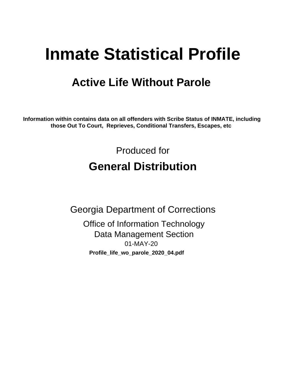# **Inmate Statistical Profile**

# **Active Life Without Parole**

Information within contains data on all offenders with Scribe Status of INMATE, including those Out To Court, Reprieves, Conditional Transfers, Escapes, etc

> Produced for **General Distribution**

**Georgia Department of Corrections Office of Information Technology Data Management Section** 01-MAY-20 Profile\_life\_wo\_parole\_2020\_04.pdf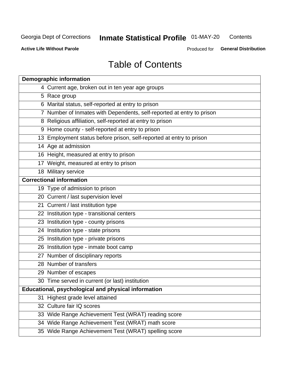#### **Inmate Statistical Profile 01-MAY-20** Contents

**Active Life Without Parole** 

Produced for General Distribution

# **Table of Contents**

|    | <b>Demographic information</b>                                        |
|----|-----------------------------------------------------------------------|
|    | 4 Current age, broken out in ten year age groups                      |
|    | 5 Race group                                                          |
|    | 6 Marital status, self-reported at entry to prison                    |
|    | 7 Number of Inmates with Dependents, self-reported at entry to prison |
|    | 8 Religious affiliation, self-reported at entry to prison             |
|    | 9 Home county - self-reported at entry to prison                      |
|    | 13 Employment status before prison, self-reported at entry to prison  |
|    | 14 Age at admission                                                   |
|    | 16 Height, measured at entry to prison                                |
|    | 17 Weight, measured at entry to prison                                |
|    | 18 Military service                                                   |
|    | <b>Correctional information</b>                                       |
|    | 19 Type of admission to prison                                        |
|    | 20 Current / last supervision level                                   |
|    | 21 Current / last institution type                                    |
|    | 22 Institution type - transitional centers                            |
|    | 23 Institution type - county prisons                                  |
|    | 24 Institution type - state prisons                                   |
|    | 25 Institution type - private prisons                                 |
|    | 26 Institution type - inmate boot camp                                |
|    | 27 Number of disciplinary reports                                     |
|    | 28 Number of transfers                                                |
|    | 29 Number of escapes                                                  |
|    | 30 Time served in current (or last) institution                       |
|    | Educational, psychological and physical information                   |
| 31 | Highest grade level attained                                          |
|    | 32 Culture fair IQ scores                                             |
|    | 33 Wide Range Achievement Test (WRAT) reading score                   |
|    | 34 Wide Range Achievement Test (WRAT) math score                      |
|    | 35 Wide Range Achievement Test (WRAT) spelling score                  |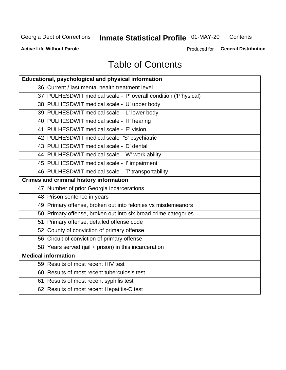# **Inmate Statistical Profile 01-MAY-20**

Contents

**Active Life Without Parole** 

Produced for General Distribution

# **Table of Contents**

| Educational, psychological and physical information              |
|------------------------------------------------------------------|
| 36 Current / last mental health treatment level                  |
| 37 PULHESDWIT medical scale - 'P' overall condition ('P'hysical) |
| 38 PULHESDWIT medical scale - 'U' upper body                     |
| 39 PULHESDWIT medical scale - 'L' lower body                     |
| 40 PULHESDWIT medical scale - 'H' hearing                        |
| 41 PULHESDWIT medical scale - 'E' vision                         |
| 42 PULHESDWIT medical scale -'S' psychiatric                     |
| 43 PULHESDWIT medical scale - 'D' dental                         |
| 44 PULHESDWIT medical scale - 'W' work ability                   |
| 45 PULHESDWIT medical scale - 'I' impairment                     |
| 46 PULHESDWIT medical scale - 'T' transportability               |
| <b>Crimes and criminal history information</b>                   |
| 47 Number of prior Georgia incarcerations                        |
| 48 Prison sentence in years                                      |
| 49 Primary offense, broken out into felonies vs misdemeanors     |
| 50 Primary offense, broken out into six broad crime categories   |
| 51 Primary offense, detailed offense code                        |
| 52 County of conviction of primary offense                       |
| 56 Circuit of conviction of primary offense                      |
| 58 Years served (jail + prison) in this incarceration            |
| <b>Medical information</b>                                       |
| 59 Results of most recent HIV test                               |
| 60 Results of most recent tuberculosis test                      |
| 61 Results of most recent syphilis test                          |
| 62 Results of most recent Hepatitis-C test                       |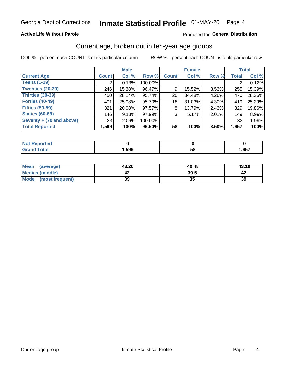## **Active Life Without Parole**

### Produced for General Distribution

## Current age, broken out in ten-year age groups

COL % - percent each COUNT is of its particular column

|                          | <b>Male</b>  |        |         |                 | <b>Female</b> |          |              | <b>Total</b> |
|--------------------------|--------------|--------|---------|-----------------|---------------|----------|--------------|--------------|
| <b>Current Age</b>       | <b>Count</b> | Col %  | Row %   | <b>Count</b>    | Col %         | Row %    | <b>Total</b> | Col %        |
| <b>Teens (1-19)</b>      | ⌒            | 0.13%  | 100.00% |                 |               |          |              | 0.12%        |
| <b>Twenties (20-29)</b>  | 246          | 15.38% | 96.47%  | 9               | 15.52%        | 3.53%    | 255          | 15.39%       |
| Thirties (30-39)         | 450          | 28.14% | 95.74%  | 20 <sub>1</sub> | 34.48%        | 4.26%    | 470          | 28.36%       |
| <b>Forties (40-49)</b>   | 401          | 25.08% | 95.70%  | 18              | 31.03%        | 4.30%    | 419          | 25.29%       |
| <b>Fifties (50-59)</b>   | 321          | 20.08% | 97.57%  | 8               | 13.79%        | $2.43\%$ | 329          | 19.86%       |
| <b>Sixties (60-69)</b>   | 146          | 9.13%  | 97.99%  | 3               | 5.17%         | 2.01%    | 149          | 8.99%        |
| Seventy + (70 and above) | 33           | 2.06%  | 100.00% |                 |               |          | 33           | 1.99%        |
| <b>Total Reported</b>    | 1,599        | 100%   | 96.50%  | 58              | 100%          | 3.50%    | 1,657        | 100%         |

| المستحدث والمتعادل |      |          |      |
|--------------------|------|----------|------|
| $C = 4 - 7$        | ,599 | co<br>วด | .657 |

| Mean<br>(average)      | 43.26 | 40.48 | 43.16 |
|------------------------|-------|-------|-------|
| <b>Median (middle)</b> |       | 39.5  |       |
| Mode (most frequent)   | 39    | JJ    | 39    |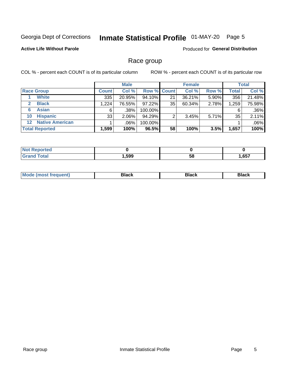#### Inmate Statistical Profile 01-MAY-20 Page 5

## **Active Life Without Parole**

**Produced for General Distribution** 

## Race group

COL % - percent each COUNT is of its particular column

|                       |                        | <b>Male</b>  |          |         | <b>Female</b>      |        |       |       | <b>Total</b> |
|-----------------------|------------------------|--------------|----------|---------|--------------------|--------|-------|-------|--------------|
|                       | <b>Race Group</b>      | <b>Count</b> | Col %    |         | <b>Row % Count</b> | Col %  | Row % | Total | Col %        |
|                       | <b>White</b>           | 335          | 20.95%   | 94.10%  | 21                 | 36.21% | 5.90% | 356   | 21.48%       |
| 2                     | <b>Black</b>           | 1.224        | 76.55%   | 97.22%  | 35                 | 60.34% | 2.78% | 1,259 | 75.98%       |
| 6                     | <b>Asian</b>           | 6            | $.38\%$  | 100.00% |                    |        |       | 6     | $.36\%$      |
| 10                    | <b>Hispanic</b>        | 33           | $2.06\%$ | 94.29%  | ົ                  | 3.45%  | 5.71% | 35    | 2.11%        |
| $12 \,$               | <b>Native American</b> |              | .06%     | 100.00% |                    |        |       |       | .06%         |
| <b>Total Reported</b> |                        | 1,599        | 100%     | 96.5%   | 58                 | 100%   | 3.5%  | 1,657 | 100%         |

| neo         |      |    |      |
|-------------|------|----|------|
| $f = 4 \pi$ | ,599 | 58 | ,657 |

| –•••• |  | M |  |  |  |
|-------|--|---|--|--|--|
|-------|--|---|--|--|--|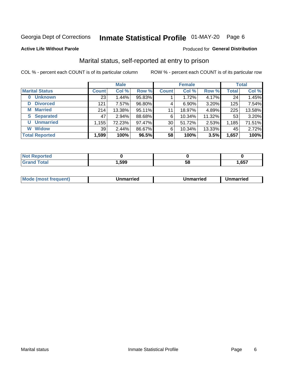# Inmate Statistical Profile 01-MAY-20 Page 6

### **Active Life Without Parole**

## Produced for General Distribution

## Marital status, self-reported at entry to prison

COL % - percent each COUNT is of its particular column

|                            | <b>Male</b>  |          |        |              | <b>Female</b> | <b>Total</b> |              |        |
|----------------------------|--------------|----------|--------|--------------|---------------|--------------|--------------|--------|
| <b>Marital Status</b>      | <b>Count</b> | Col %    | Row %  | <b>Count</b> | Col %         | Row %        | <b>Total</b> | Col %  |
| <b>Unknown</b><br>$\bf{0}$ | 23           | 1.44%    | 95.83% |              | 1.72%         | 4.17%        | 24           | 1.45%  |
| <b>Divorced</b><br>D       | 121          | 7.57%    | 96.80% | 4            | $6.90\%$      | 3.20%        | 125          | 7.54%  |
| <b>Married</b><br>М        | 214          | 13.38%   | 95.11% | 11           | 18.97%        | 4.89%        | 225          | 13.58% |
| <b>S</b> Separated         | 47           | $2.94\%$ | 88.68% | 6            | 10.34%        | 11.32%       | 53           | 3.20%  |
| <b>Unmarried</b><br>U      | 1,155        | 72.23%   | 97.47% | 30           | 51.72%        | 2.53%        | 1,185        | 71.51% |
| <b>Widow</b><br>W          | 39           | 2.44%    | 86.67% | 6            | 10.34%        | 13.33%       | 45           | 2.72%  |
| <b>Total Reported</b>      | 1,599        | 100%     | 96.5%  | 58           | 100%          | 3.5%         | 1,657        | 100%   |

| .<br>тео<br>NG |      |    |      |
|----------------|------|----|------|
|                | ,599 | ၁၀ | ,657 |

|  | M | . | Unmarried | າmarried<br>_____ |
|--|---|---|-----------|-------------------|
|--|---|---|-----------|-------------------|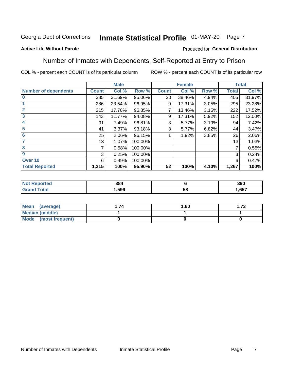#### Inmate Statistical Profile 01-MAY-20 Page 7

## **Active Life Without Parole**

## Produced for General Distribution

## Number of Inmates with Dependents, Self-Reported at Entry to Prison

COL % - percent each COUNT is of its particular column

|                             |              | <b>Male</b> |         |              | <b>Female</b> |       |              | <b>Total</b> |
|-----------------------------|--------------|-------------|---------|--------------|---------------|-------|--------------|--------------|
| <b>Number of dependents</b> | <b>Count</b> | Col %       | Row %   | <b>Count</b> | Col %         | Row % | <b>Total</b> | Col %        |
| $\bf{0}$                    | 385          | 31.69%      | 95.06%  | 20           | 38.46%        | 4.94% | 405          | 31.97%       |
|                             | 286          | 23.54%      | 96.95%  | 9            | 17.31%        | 3.05% | 295          | 23.28%       |
| $\overline{2}$              | 215          | 17.70%      | 96.85%  | 7            | 13.46%        | 3.15% | 222          | 17.52%       |
| 3                           | 143          | 11.77%      | 94.08%  | 9            | 17.31%        | 5.92% | 152          | 12.00%       |
| 4                           | 91           | 7.49%       | 96.81%  | 3            | 5.77%         | 3.19% | 94           | 7.42%        |
| 5                           | 41           | 3.37%       | 93.18%  | 3            | 5.77%         | 6.82% | 44           | 3.47%        |
| 6                           | 25           | 2.06%       | 96.15%  |              | 1.92%         | 3.85% | 26           | 2.05%        |
| 7                           | 13           | 1.07%       | 100.00% |              |               |       | 13           | 1.03%        |
| 8                           | 7            | 0.58%       | 100.00% |              |               |       | 7            | 0.55%        |
| $\boldsymbol{9}$            | 3            | 0.25%       | 100.00% |              |               |       | 3            | 0.24%        |
| Over 10                     | 6            | 0.49%       | 100.00% |              |               |       | 6            | 0.47%        |
| <b>Total Reported</b>       | 1,215        | 100%        | 95.90%  | 52           | 100%          | 4.10% | 1,267        | 100%         |

| 384  |          | 390  |
|------|----------|------|
| .599 | . .<br>◡ | .657 |

| <b>Mean</b><br>(average) | 1.60 | - 72<br>I. I J |
|--------------------------|------|----------------|
| Median (middle)          |      |                |
| Mode<br>(most frequent)  |      |                |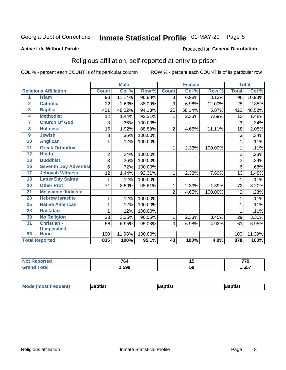# Inmate Statistical Profile 01-MAY-20 Page 8

### **Active Life Without Parole**

### Produced for General Distribution

## Religious affiliation, self-reported at entry to prison

COL % - percent each COUNT is of its particular column

|                         |                              |              | <b>Male</b> |         |                 | <b>Female</b> |         |                | <b>Total</b> |
|-------------------------|------------------------------|--------------|-------------|---------|-----------------|---------------|---------|----------------|--------------|
|                         | <b>Religious Affiliation</b> | <b>Count</b> | Col %       | Row %   | <b>Count</b>    | Col %         | Row %   | <b>Total</b>   | Col %        |
| 1                       | <b>Islam</b>                 | 93           | 11.14%      | 96.88%  | 3               | 6.98%         | 3.13%   | 96             | 10.93%       |
| $\overline{2}$          | <b>Catholic</b>              | 22           | 2.63%       | 88.00%  | 3               | 6.98%         | 12.00%  | 25             | 2.85%        |
| $\overline{\mathbf{3}}$ | <b>Baptist</b>               | 401          | 48.02%      | 94.13%  | 25              | 58.14%        | 5.87%   | 426            | 48.52%       |
| $\overline{\mathbf{4}}$ | <b>Methodist</b>             | 12           | 1.44%       | 92.31%  | 1               | 2.33%         | 7.69%   | 13             | 1.48%        |
| 7                       | <b>Church Of God</b>         | 3            | .36%        | 100.00% |                 |               |         | 3              | .34%         |
| $\overline{\mathbf{8}}$ | <b>Holiness</b>              | 16           | 1.92%       | 88.89%  | $\overline{2}$  | 4.65%         | 11.11%  | 18             | 2.05%        |
| $\overline{9}$          | <b>Jewish</b>                | 3            | .36%        | 100.00% |                 |               |         | 3              | .34%         |
| 10                      | <b>Anglican</b>              | 1            | .12%        | 100.00% |                 |               |         |                | .11%         |
| 11                      | <b>Greek Orthodox</b>        |              |             |         | 1               | 2.33%         | 100.00% | 1              | .11%         |
| 12                      | <b>Hindu</b>                 | $\mathbf 2$  | .24%        | 100.00% |                 |               |         | $\overline{2}$ | .23%         |
| 13                      | <b>Buddhist</b>              | 3            | .36%        | 100.00% |                 |               |         | 3              | .34%         |
| 16                      | <b>Seventh Day Adventist</b> | 6            | .72%        | 100.00% |                 |               |         | 6              | .68%         |
| 17                      | <b>Jehovah Witness</b>       | 12           | 1.44%       | 92.31%  | 1               | 2.33%         | 7.69%   | 13             | 1.48%        |
| 18                      | <b>Latter Day Saints</b>     | 1            | .12%        | 100.00% |                 |               |         |                | .11%         |
| 20                      | <b>Other Prot</b>            | 71           | 8.50%       | 98.61%  | 1               | 2.33%         | 1.39%   | 72             | 8.20%        |
| $\overline{21}$         | <b>Messianic Judaism</b>     |              |             |         | $\overline{2}$  | 4.65%         | 100.00% | $\overline{2}$ | .23%         |
| 23                      | <b>Hebrew Israelite</b>      | 1            | .12%        | 100.00% |                 |               |         |                | .11%         |
| 25                      | <b>Native American</b>       | 1            | .12%        | 100.00% |                 |               |         |                | .11%         |
| 28                      | <b>Rastafari</b>             | 1            | .12%        | 100.00% |                 |               |         |                | .11%         |
| 30                      | <b>No Religion</b>           | 28           | 3.35%       | 96.55%  | $\mathbf{1}$    | 2.33%         | 3.45%   | 29             | 3.30%        |
| 31                      | Christian -                  | 58           | 6.95%       | 95.08%  | 3               | 6.98%         | 4.92%   | 61             | 6.95%        |
|                         | <b>Unspecified</b>           |              |             |         |                 |               |         |                |              |
| 96                      | <b>None</b>                  | 100          | 11.98%      | 100.00% |                 |               |         | 100            | 11.39%       |
|                         | <b>Total Reported</b>        | 835          | 100%        | 95.1%   | $\overline{43}$ | 100%          | 4.9%    | 878            | 100%         |

| кәс | $\sim$ | . . | 770  |
|-----|--------|-----|------|
|     | '04    |     | -    |
|     | .599   | ວດ  | ,657 |

| Mode (most frequent)<br>aptist<br>3aptist<br>'aptist |
|------------------------------------------------------|
|------------------------------------------------------|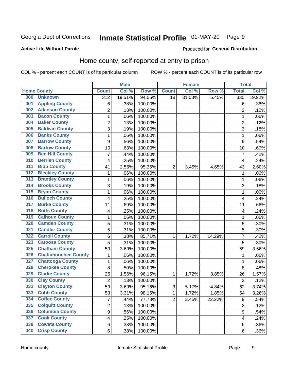# Inmate Statistical Profile 01-MAY-20 Page 9

### **Active Life Without Parole**

### Produced for General Distribution

## Home county, self-reported at entry to prison

COL % - percent each COUNT is of its particular column

|     |                             |                         | <b>Male</b> |         |                | <b>Female</b> |        | <b>Total</b>            |        |
|-----|-----------------------------|-------------------------|-------------|---------|----------------|---------------|--------|-------------------------|--------|
|     | <b>Home County</b>          | <b>Count</b>            | Col %       | Row %   | <b>Count</b>   | Col %         | Row %  | <b>Total</b>            | Col %  |
| 000 | <b>Unknown</b>              | $\overline{312}$        | 19.51%      | 94.55%  | 18             | 31.03%        | 5.45%  | 330                     | 19.92% |
| 001 | <b>Appling County</b>       | 6                       | .38%        | 100.00% |                |               |        | 6                       | .36%   |
| 002 | <b>Atkinson County</b>      | $\overline{2}$          | .13%        | 100.00% |                |               |        | $\overline{2}$          | .12%   |
| 003 | <b>Bacon County</b>         | $\mathbf 1$             | .06%        | 100.00% |                |               |        | 1                       | .06%   |
| 004 | <b>Baker County</b>         | $\overline{2}$          | .13%        | 100.00% |                |               |        | $\overline{2}$          | .12%   |
| 005 | <b>Baldwin County</b>       | 3                       | .19%        | 100.00% |                |               |        | 3                       | .18%   |
| 006 | <b>Banks County</b>         | $\mathbf{1}$            | .06%        | 100.00% |                |               |        | 1                       | .06%   |
| 007 | <b>Barrow County</b>        | 9                       | .56%        | 100.00% |                |               |        | 9                       | .54%   |
| 008 | <b>Bartow County</b>        | 10                      | .63%        | 100.00% |                |               |        | 10                      | .60%   |
| 009 | <b>Ben Hill County</b>      | $\overline{7}$          | .44%        | 100.00% |                |               |        | 7                       | .42%   |
| 010 | <b>Berrien County</b>       | 4                       | .25%        | 100.00% |                |               |        | $\overline{\mathbf{4}}$ | .24%   |
| 011 | <b>Bibb County</b>          | 41                      | 2.56%       | 95.35%  | $\overline{2}$ | 3.45%         | 4.65%  | 43                      | 2.60%  |
| 012 | <b>Bleckley County</b>      | $\mathbf 1$             | .06%        | 100.00% |                |               |        | 1                       | .06%   |
| 013 | <b>Brantley County</b>      | $\mathbf 1$             | .06%        | 100.00% |                |               |        | 1                       | .06%   |
| 014 | <b>Brooks County</b>        | 3                       | .19%        | 100.00% |                |               |        | 3                       | .18%   |
| 015 | <b>Bryan County</b>         | $\mathbf 1$             | .06%        | 100.00% |                |               |        | 1                       | .06%   |
| 016 | <b>Bulloch County</b>       | 4                       | .25%        | 100.00% |                |               |        | $\overline{4}$          | .24%   |
| 017 | <b>Burke County</b>         | 11                      | .69%        | 100.00% |                |               |        | 11                      | .66%   |
| 018 | <b>Butts County</b>         | 4                       | .25%        | 100.00% |                |               |        | 4                       | .24%   |
| 019 | <b>Calhoun County</b>       | $\mathbf 1$             | .06%        | 100.00% |                |               |        | 1                       | .06%   |
| 020 | <b>Camden County</b>        | 5                       | .31%        | 100.00% |                |               |        | 5                       | .30%   |
| 021 | <b>Candler County</b>       | 5                       | .31%        | 100.00% |                |               |        | 5                       | .30%   |
| 022 | <b>Carroll County</b>       | 6                       | .38%        | 85.71%  | 1              | 1.72%         | 14.29% | 7                       | .42%   |
| 023 | <b>Catoosa County</b>       | 5                       | .31%        | 100.00% |                |               |        | 5                       | .30%   |
| 025 | <b>Chatham County</b>       | 59                      | 3.69%       | 100.00% |                |               |        | 59                      | 3.56%  |
| 026 | <b>Chattahoochee County</b> | $\mathbf 1$             | .06%        | 100.00% |                |               |        | 1                       | .06%   |
| 027 | <b>Chattooga County</b>     | $\mathbf 1$             | .06%        | 100.00% |                |               |        | 1                       | .06%   |
| 028 | <b>Cherokee County</b>      | 8                       | .50%        | 100.00% |                |               |        | 8                       | .48%   |
| 029 | <b>Clarke County</b>        | 25                      | 1.56%       | 96.15%  | 1              | 1.72%         | 3.85%  | 26                      | 1.57%  |
| 030 | <b>Clay County</b>          | $\overline{2}$          | .13%        | 100.00% |                |               |        | $\overline{2}$          | .12%   |
| 031 | <b>Clayton County</b>       | 59                      | 3.69%       | 95.16%  | $\sqrt{3}$     | 5.17%         | 4.84%  | 62                      | 3.74%  |
| 033 | <b>Cobb County</b>          | 53                      | 3.31%       | 98.15%  | 1              | 1.72%         | 1.85%  | 54                      | 3.26%  |
| 034 | <b>Coffee County</b>        | $\overline{7}$          | .44%        | 77.78%  | $\overline{2}$ | 3.45%         | 22.22% | $\boldsymbol{9}$        | .54%   |
| 035 | <b>Colquitt County</b>      | $\overline{2}$          | .13%        | 100.00% |                |               |        | $\overline{2}$          | .12%   |
| 036 | <b>Columbia County</b>      | $\overline{9}$          | .56%        | 100.00% |                |               |        | $\mathsf g$             | .54%   |
| 037 | <b>Cook County</b>          | $\overline{\mathbf{4}}$ | .25%        | 100.00% |                |               |        | 4                       | .24%   |
| 038 | <b>Coweta County</b>        | 6                       | .38%        | 100.00% |                |               |        | 6                       | .36%   |
| 040 | <b>Crisp County</b>         | 6                       | .38%        | 100.00% |                |               |        | 6                       | .36%   |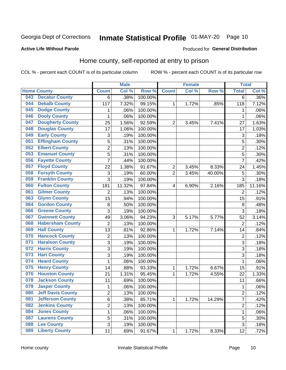# Inmate Statistical Profile 01-MAY-20 Page 10

### **Active Life Without Parole**

## Produced for General Distribution

## Home county, self-reported at entry to prison

COL % - percent each COUNT is of its particular column

|     |                          |                | <b>Male</b> |         |                  | <b>Female</b> |        | <b>Total</b>   |         |
|-----|--------------------------|----------------|-------------|---------|------------------|---------------|--------|----------------|---------|
|     | <b>Home County</b>       | <b>Count</b>   | Col %       | Row %   | <b>Count</b>     | Col %         | Row %  | <b>Total</b>   | Col %   |
| 043 | <b>Decatur County</b>    | 6              | .38%        | 100.00% |                  |               |        | 6              | $.36\%$ |
| 044 | <b>Dekalb County</b>     | 117            | 7.32%       | 99.15%  | 1                | 1.72%         | .85%   | 118            | 7.12%   |
| 045 | <b>Dodge County</b>      | 1              | .06%        | 100.00% |                  |               |        | 1              | .06%    |
| 046 | <b>Dooly County</b>      | $\mathbf{1}$   | .06%        | 100.00% |                  |               |        | 1              | .06%    |
| 047 | <b>Dougherty County</b>  | 25             | 1.56%       | 92.59%  | $\overline{2}$   | 3.45%         | 7.41%  | 27             | 1.63%   |
| 048 | <b>Douglas County</b>    | 17             | 1.06%       | 100.00% |                  |               |        | 17             | 1.03%   |
| 049 | <b>Early County</b>      | 3              | .19%        | 100.00% |                  |               |        | 3              | .18%    |
| 051 | <b>Effingham County</b>  | 5              | .31%        | 100.00% |                  |               |        | 5              | .30%    |
| 052 | <b>Elbert County</b>     | $\overline{c}$ | .13%        | 100.00% |                  |               |        | $\overline{2}$ | .12%    |
| 053 | <b>Emanuel County</b>    | 5              | .31%        | 100.00% |                  |               |        | 5              | .30%    |
| 056 | <b>Fayette County</b>    | $\overline{7}$ | .44%        | 100.00% |                  |               |        | $\overline{7}$ | .42%    |
| 057 | <b>Floyd County</b>      | 22             | 1.38%       | 91.67%  | $\boldsymbol{2}$ | 3.45%         | 8.33%  | 24             | 1.45%   |
| 058 | <b>Forsyth County</b>    | 3              | .19%        | 60.00%  | $\overline{2}$   | 3.45%         | 40.00% | 5              | .30%    |
| 059 | <b>Franklin County</b>   | 3              | .19%        | 100.00% |                  |               |        | 3              | .18%    |
| 060 | <b>Fulton County</b>     | 181            | 11.32%      | 97.84%  | 4                | 6.90%         | 2.16%  | 185            | 11.16%  |
| 061 | <b>Gilmer County</b>     | $\overline{2}$ | .13%        | 100.00% |                  |               |        | $\overline{2}$ | .12%    |
| 063 | <b>Glynn County</b>      | 15             | .94%        | 100.00% |                  |               |        | 15             | .91%    |
| 064 | <b>Gordon County</b>     | 8              | .50%        | 100.00% |                  |               |        | 8              | .48%    |
| 066 | <b>Greene County</b>     | 3              | .19%        | 100.00% |                  |               |        | 3              | .18%    |
| 067 | <b>Gwinnett County</b>   | 49             | 3.06%       | 94.23%  | 3                | 5.17%         | 5.77%  | 52             | 3.14%   |
| 068 | <b>Habersham County</b>  | $\overline{2}$ | .13%        | 100.00% |                  |               |        | $\overline{2}$ | .12%    |
| 069 | <b>Hall County</b>       | 13             | .81%        | 92.86%  | 1                | 1.72%         | 7.14%  | 14             | .84%    |
| 070 | <b>Hancock County</b>    | $\overline{2}$ | .13%        | 100.00% |                  |               |        | $\overline{2}$ | .12%    |
| 071 | <b>Haralson County</b>   | 3              | .19%        | 100.00% |                  |               |        | 3              | .18%    |
| 072 | <b>Harris County</b>     | 3              | .19%        | 100.00% |                  |               |        | 3              | .18%    |
| 073 | <b>Hart County</b>       | 3              | .19%        | 100.00% |                  |               |        | 3              | .18%    |
| 074 | <b>Heard County</b>      | $\mathbf{1}$   | .06%        | 100.00% |                  |               |        | 1              | .06%    |
| 075 | <b>Henry County</b>      | 14             | .88%        | 93.33%  | 1                | 1.72%         | 6.67%  | 15             | .91%    |
| 076 | <b>Houston County</b>    | 21             | 1.31%       | 95.45%  | 1                | 1.72%         | 4.55%  | 22             | 1.33%   |
| 078 | <b>Jackson County</b>    | 11             | .69%        | 100.00% |                  |               |        | 11             | .66%    |
| 079 | <b>Jasper County</b>     | $\mathbf 1$    | .06%        | 100.00% |                  |               |        | 1              | .06%    |
| 080 | <b>Jeff Davis County</b> | 2              | .13%        | 100.00% |                  |               |        | $\overline{c}$ | .12%    |
| 081 | <b>Jefferson County</b>  | 6              | .38%        | 85.71%  | 1                | 1.72%         | 14.29% | 7              | .42%    |
| 082 | <b>Jenkins County</b>    | $\overline{2}$ | .13%        | 100.00% |                  |               |        | $\overline{2}$ | .12%    |
| 084 | <b>Jones County</b>      | $\mathbf{1}$   | .06%        | 100.00% |                  |               |        | 1              | .06%    |
| 087 | <b>Laurens County</b>    | 5              | .31%        | 100.00% |                  |               |        | 5              | .30%    |
| 088 | <b>Lee County</b>        | 3              | .19%        | 100.00% |                  |               |        | $\overline{3}$ | .18%    |
| 089 | <b>Liberty County</b>    | 11             | .69%        | 91.67%  | $\mathbf 1$      | 1.72%         | 8.33%  | 12             | .72%    |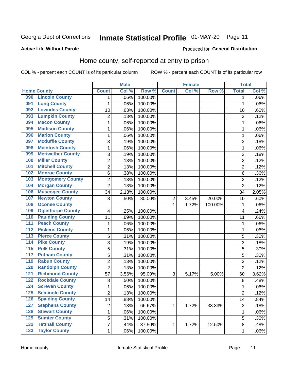# Inmate Statistical Profile 01-MAY-20 Page 11

### **Active Life Without Parole**

### Produced for General Distribution

## Home county, self-reported at entry to prison

COL % - percent each COUNT is of its particular column

|                  |                          |                | <b>Male</b> |         |                | <b>Female</b> |         | <b>Total</b>   |       |
|------------------|--------------------------|----------------|-------------|---------|----------------|---------------|---------|----------------|-------|
|                  | <b>Home County</b>       | <b>Count</b>   | Col %       | Row %   | <b>Count</b>   | Col %         | Row %   | <b>Total</b>   | Col % |
| 090              | <b>Lincoln County</b>    | 1              | .06%        | 100.00% |                |               |         | 1              | .06%  |
| 091              | <b>Long County</b>       | 1              | .06%        | 100.00% |                |               |         | 1              | .06%  |
| 092              | <b>Lowndes County</b>    | 10             | .63%        | 100.00% |                |               |         | 10             | .60%  |
| 093              | <b>Lumpkin County</b>    | $\overline{2}$ | .13%        | 100.00% |                |               |         | $\overline{2}$ | .12%  |
| 094              | <b>Macon County</b>      | $\mathbf 1$    | .06%        | 100.00% |                |               |         | 1              | .06%  |
| 095              | <b>Madison County</b>    | $\mathbf 1$    | .06%        | 100.00% |                |               |         | 1              | .06%  |
| 096              | <b>Marion County</b>     | $\mathbf 1$    | .06%        | 100.00% |                |               |         | 1              | .06%  |
| 097              | <b>Mcduffie County</b>   | 3              | .19%        | 100.00% |                |               |         | 3              | .18%  |
| 098              | <b>Mcintosh County</b>   | $\mathbf 1$    | .06%        | 100.00% |                |               |         | 1              | .06%  |
| 099              | <b>Meriwether County</b> | 3              | .19%        | 100.00% |                |               |         | 3              | .18%  |
| 100              | <b>Miller County</b>     | $\overline{c}$ | .13%        | 100.00% |                |               |         | $\overline{2}$ | .12%  |
| 101              | <b>Mitchell County</b>   | $\overline{2}$ | .13%        | 100.00% |                |               |         | $\overline{2}$ | .12%  |
| 102              | <b>Monroe County</b>     | 6              | .38%        | 100.00% |                |               |         | 6              | .36%  |
| 103              | <b>Montgomery County</b> | $\overline{c}$ | .13%        | 100.00% |                |               |         | $\overline{2}$ | .12%  |
| 104              | <b>Morgan County</b>     | $\overline{2}$ | .13%        | 100.00% |                |               |         | $\overline{2}$ | .12%  |
| 106              | <b>Muscogee County</b>   | 34             | 2.13%       | 100.00% |                |               |         | 34             | 2.05% |
| 107              | <b>Newton County</b>     | 8              | .50%        | 80.00%  | $\overline{2}$ | 3.45%         | 20.00%  | 10             | .60%  |
| 108              | <b>Oconee County</b>     |                |             |         | 1              | 1.72%         | 100.00% | 1              | .06%  |
| 109              | <b>Oglethorpe County</b> | 4              | .25%        | 100.00% |                |               |         | 4              | .24%  |
| 110              | <b>Paulding County</b>   | 11             | .69%        | 100.00% |                |               |         | 11             | .66%  |
| 111              | <b>Peach County</b>      | $\mathbf 1$    | .06%        | 100.00% |                |               |         | 1              | .06%  |
| $\overline{112}$ | <b>Pickens County</b>    | $\mathbf 1$    | .06%        | 100.00% |                |               |         | 1              | .06%  |
| 113              | <b>Pierce County</b>     | 5              | .31%        | 100.00% |                |               |         | 5              | .30%  |
| 114              | <b>Pike County</b>       | 3              | .19%        | 100.00% |                |               |         | 3              | .18%  |
| $\overline{115}$ | <b>Polk County</b>       | 5              | .31%        | 100.00% |                |               |         | 5              | .30%  |
| 117              | <b>Putnam County</b>     | 5              | .31%        | 100.00% |                |               |         | 5              | .30%  |
| 119              | <b>Rabun County</b>      | $\overline{2}$ | .13%        | 100.00% |                |               |         | $\overline{2}$ | .12%  |
| 120              | <b>Randolph County</b>   | $\overline{2}$ | .13%        | 100.00% |                |               |         | $\overline{2}$ | .12%  |
| 121              | <b>Richmond County</b>   | 57             | 3.56%       | 95.00%  | 3              | 5.17%         | 5.00%   | 60             | 3.62% |
| 122              | <b>Rockdale County</b>   | 8              | .50%        | 100.00% |                |               |         | $\,8\,$        | .48%  |
| 124              | <b>Screven County</b>    | $\mathbf 1$    | .06%        | 100.00% |                |               |         | 1              | .06%  |
| 125              | <b>Seminole County</b>   | 2              | .13%        | 100.00% |                |               |         | 2              | .12%  |
| 126              | <b>Spalding County</b>   | 14             | .88%        | 100.00% |                |               |         | 14             | .84%  |
| 127              | <b>Stephens County</b>   | $\overline{c}$ | .13%        | 66.67%  | 1              | 1.72%         | 33.33%  | $\mathfrak{S}$ | .18%  |
| 128              | <b>Stewart County</b>    | $\mathbf{1}$   | .06%        | 100.00% |                |               |         | 1              | .06%  |
| 129              | <b>Sumter County</b>     | 5              | .31%        | 100.00% |                |               |         | 5              | .30%  |
| $\overline{132}$ | <b>Tattnall County</b>   | $\overline{7}$ | .44%        | 87.50%  | 1              | 1.72%         | 12.50%  | 8              | .48%  |
| $\overline{133}$ | <b>Taylor County</b>     | $\mathbf{1}$   | .06%        | 100.00% |                |               |         | 1              | .06%  |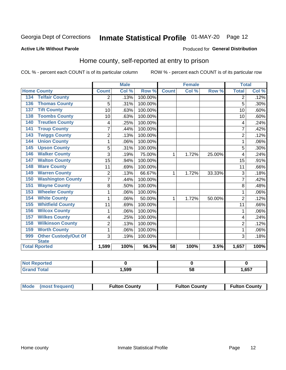# Inmate Statistical Profile 01-MAY-20 Page 12

### **Active Life Without Parole**

### Produced for General Distribution

## Home county, self-reported at entry to prison

COL % - percent each COUNT is of its particular column

|                                    |                | <b>Male</b> |         |              | <b>Female</b> |        | <b>Total</b>   |       |
|------------------------------------|----------------|-------------|---------|--------------|---------------|--------|----------------|-------|
| <b>Home County</b>                 | <b>Count</b>   | Col %       | Row %   | <b>Count</b> | Col %         | Row %  | <b>Total</b>   | Col % |
| <b>Telfair County</b><br>134       | 2              | .13%        | 100.00% |              |               |        | 2              | .12%  |
| <b>Thomas County</b><br>136        | 5              | .31%        | 100.00% |              |               |        | 5              | .30%  |
| <b>Tift County</b><br>137          | 10             | .63%        | 100.00% |              |               |        | 10             | .60%  |
| <b>Toombs County</b><br>138        | 10             | .63%        | 100.00% |              |               |        | 10             | .60%  |
| <b>Treutlen County</b><br>140      | 4              | .25%        | 100.00% |              |               |        | 4              | .24%  |
| <b>Troup County</b><br>141         | $\overline{7}$ | .44%        | 100.00% |              |               |        | 7              | .42%  |
| <b>Twiggs County</b><br>143        | $\overline{c}$ | .13%        | 100.00% |              |               |        | $\overline{2}$ | .12%  |
| <b>Union County</b><br>144         | 1              | .06%        | 100.00% |              |               |        |                | .06%  |
| <b>Upson County</b><br>145         | 5              | .31%        | 100.00% |              |               |        | 5              | .30%  |
| <b>Walker County</b><br>146        | 3              | .19%        | 75.00%  | 1            | 1.72%         | 25.00% | 4              | .24%  |
| <b>Walton County</b><br>147        | 15             | .94%        | 100.00% |              |               |        | 15             | .91%  |
| <b>Ware County</b><br>148          | 11             | .69%        | 100.00% |              |               |        | 11             | .66%  |
| <b>Warren County</b><br>149        | $\overline{2}$ | .13%        | 66.67%  | 1            | 1.72%         | 33.33% | 3              | .18%  |
| <b>Washington County</b><br>150    | 7              | .44%        | 100.00% |              |               |        |                | .42%  |
| <b>Wayne County</b><br>151         | 8              | .50%        | 100.00% |              |               |        | 8              | .48%  |
| <b>Wheeler County</b><br>153       | 1              | .06%        | 100.00% |              |               |        |                | .06%  |
| <b>White County</b><br>154         | 1              | .06%        | 50.00%  | 1            | 1.72%         | 50.00% | $\overline{2}$ | .12%  |
| <b>Whitfield County</b><br>155     | 11             | .69%        | 100.00% |              |               |        | 11             | .66%  |
| <b>Wilcox County</b><br>156        | 1              | .06%        | 100.00% |              |               |        | 1              | .06%  |
| <b>Wilkes County</b><br>157        | 4              | .25%        | 100.00% |              |               |        | 4              | .24%  |
| <b>Wilkinson County</b><br>158     | $\overline{2}$ | .13%        | 100.00% |              |               |        | $\overline{2}$ | .12%  |
| <b>Worth County</b><br>159         | 1              | .06%        | 100.00% |              |               |        | 1              | .06%  |
| <b>Other Custody/Out Of</b><br>999 | 3              | .19%        | 100.00% |              |               |        | 3              | .18%  |
| <b>State</b>                       |                |             |         |              |               |        |                |       |
| <b>Total Rported</b>               | 1,599          | 100%        | 96.5%   | 58           | 100%          | 3.5%   | 1,657          | 100%  |

| Reported<br><b>NOT</b> |       |    |      |
|------------------------|-------|----|------|
| `otal                  | .,599 | ວດ | .657 |

| Mode (most frequent) | <b>Fulton County</b> | <b>Fulton County</b> | <b>Fulton County</b> |
|----------------------|----------------------|----------------------|----------------------|
|----------------------|----------------------|----------------------|----------------------|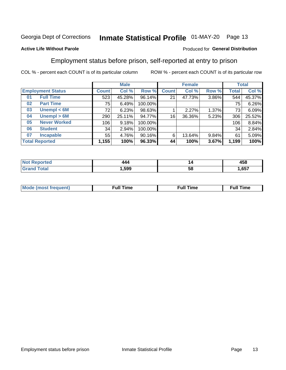# Inmate Statistical Profile 01-MAY-20 Page 13

## **Active Life Without Parole**

## Produced for General Distribution

## Employment status before prison, self-reported at entry to prison

COL % - percent each COUNT is of its particular column

|                           | <b>Male</b>  |        |         |              | <b>Female</b> |       |       | <b>Total</b> |  |
|---------------------------|--------------|--------|---------|--------------|---------------|-------|-------|--------------|--|
| <b>Employment Status</b>  | <b>Count</b> | Col %  | Row %   | <b>Count</b> | Col %         | Row % | Total | Col %        |  |
| <b>Full Time</b><br>01    | 523          | 45.28% | 96.14%  | 21           | 47.73%        | 3.86% | 544   | 45.37%       |  |
| <b>Part Time</b><br>02    | 75           | 6.49%  | 100.00% |              |               |       | 75    | 6.26%        |  |
| Unempl $<$ 6M<br>03       | 72           | 6.23%  | 98.63%  |              | 2.27%         | 1.37% | 73    | 6.09%        |  |
| Unempl > 6M<br>04         | 290          | 25.11% | 94.77%  | 16           | 36.36%        | 5.23% | 306   | 25.52%       |  |
| <b>Never Worked</b><br>05 | 106          | 9.18%  | 100.00% |              |               |       | 106   | 8.84%        |  |
| <b>Student</b><br>06      | 34           | 2.94%  | 100.00% |              |               |       | 34    | 2.84%        |  |
| <b>Incapable</b><br>07    | 55           | 4.76%  | 90.16%  | 6            | 13.64%        | 9.84% | 61    | 5.09%        |  |
| <b>Total Reported</b>     | 1,155        | 100%   | 96.33%  | 44           | 100%          | 3.67% | 1,199 | 100%         |  |

| .    | '' | 458  |
|------|----|------|
| .599 | ວເ | .657 |

| Mc | ∙u∥<br>----<br>ıme | ίuΙ<br>Πmε |
|----|--------------------|------------|
|    |                    |            |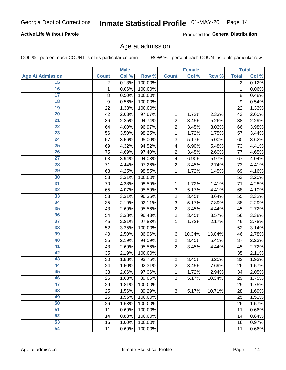## **Active Life Without Parole**

Produced for General Distribution

## Age at admission

COL % - percent each COUNT is of its particular column

|                         |              | <b>Male</b> |         |                | <b>Female</b> |        |              | <b>Total</b> |
|-------------------------|--------------|-------------|---------|----------------|---------------|--------|--------------|--------------|
| <b>Age At Admission</b> | <b>Count</b> | Col %       | Row %   | <b>Count</b>   | Col %         | Row %  | <b>Total</b> | Col %        |
| 15                      | 2            | 0.13%       | 100.00% |                |               |        | 2            | 0.12%        |
| 16                      | 1            | 0.06%       | 100.00% |                |               |        | 1            | 0.06%        |
| $\overline{17}$         | 8            | 0.50%       | 100.00% |                |               |        | 8            | 0.48%        |
| 18                      | 9            | 0.56%       | 100.00% |                |               |        | 9            | 0.54%        |
| 19                      | 22           | 1.38%       | 100.00% |                |               |        | 22           | 1.33%        |
| $\overline{20}$         | 42           | 2.63%       | 97.67%  | 1              | 1.72%         | 2.33%  | 43           | 2.60%        |
| $\overline{21}$         | 36           | 2.25%       | 94.74%  | $\overline{2}$ | 3.45%         | 5.26%  | 38           | 2.29%        |
| 22                      | 64           | 4.00%       | 96.97%  | $\overline{2}$ | 3.45%         | 3.03%  | 66           | 3.98%        |
| 23                      | 56           | 3.50%       | 98.25%  | 1              | 1.72%         | 1.75%  | 57           | 3.44%        |
| 24                      | 57           | 3.56%       | 95.00%  | 3              | 5.17%         | 5.00%  | 60           | 3.62%        |
| $\overline{25}$         | 69           | 4.32%       | 94.52%  | 4              | 6.90%         | 5.48%  | 73           | 4.41%        |
| 26                      | 75           | 4.69%       | 97.40%  | $\overline{2}$ | 3.45%         | 2.60%  | 77           | 4.65%        |
| $\overline{27}$         | 63           | 3.94%       | 94.03%  | 4              | 6.90%         | 5.97%  | 67           | 4.04%        |
| 28                      | 71           | 4.44%       | 97.26%  | $\overline{2}$ | 3.45%         | 2.74%  | 73           | 4.41%        |
| 29                      | 68           | 4.25%       | 98.55%  | 1              | 1.72%         | 1.45%  | 69           | 4.16%        |
| 30                      | 53           | 3.31%       | 100.00% |                |               |        | 53           | 3.20%        |
| $\overline{31}$         | 70           | 4.38%       | 98.59%  | 1              | 1.72%         | 1.41%  | 71           | 4.28%        |
| 32                      | 65           | 4.07%       | 95.59%  | 3              | 5.17%         | 4.41%  | 68           | 4.10%        |
| 33                      | 53           | 3.31%       | 96.36%  | $\overline{2}$ | 3.45%         | 3.64%  | 55           | 3.32%        |
| 34                      | 35           | 2.19%       | 92.11%  | 3              | 5.17%         | 7.89%  | 38           | 2.29%        |
| 35                      | 43           | 2.69%       | 95.56%  | $\overline{2}$ | 3.45%         | 4.44%  | 45           | 2.72%        |
| 36                      | 54           | 3.38%       | 96.43%  | $\overline{2}$ | 3.45%         | 3.57%  | 56           | 3.38%        |
| $\overline{37}$         | 45           | 2.81%       | 97.83%  | 1              | 1.72%         | 2.17%  | 46           | 2.78%        |
| 38                      | 52           | 3.25%       | 100.00% |                |               |        | 52           | 3.14%        |
| 39                      | 40           | 2.50%       | 86.96%  | 6              | 10.34%        | 13.04% | 46           | 2.78%        |
| 40                      | 35           | 2.19%       | 94.59%  | $\overline{2}$ | 3.45%         | 5.41%  | 37           | 2.23%        |
| 41                      | 43           | 2.69%       | 95.56%  | $\overline{2}$ | 3.45%         | 4.44%  | 45           | 2.72%        |
| 42                      | 35           | 2.19%       | 100.00% |                |               |        | 35           | 2.11%        |
| 43                      | 30           | 1.88%       | 93.75%  | $\overline{2}$ | 3.45%         | 6.25%  | 32           | 1.93%        |
| 44                      | 24           | 1.50%       | 92.31%  | $\overline{2}$ | 3.45%         | 7.69%  | 26           | 1.57%        |
| 45                      | 33           | 2.06%       | 97.06%  | 1              | 1.72%         | 2.94%  | 34           | 2.05%        |
| 46                      | 26           | 1.63%       | 89.66%  | 3              | 5.17%         | 10.34% | 29           | 1.75%        |
| 47                      | 29           | 1.81%       | 100.00% |                |               |        | 29           | 1.75%        |
| 48                      | 25           | 1.56%       | 89.29%  | 3              | 5.17%         | 10.71% | 28           | 1.69%        |
| 49                      | 25           | 1.56%       | 100.00% |                |               |        | 25           | 1.51%        |
| 50                      | 26           | 1.63%       | 100.00% |                |               |        | 26           | 1.57%        |
| $\overline{51}$         | 11           | 0.69%       | 100.00% |                |               |        | 11           | 0.66%        |
| 52                      | 14           | 0.88%       | 100.00% |                |               |        | 14           | 0.84%        |
| 53                      | 16           | 1.00%       | 100.00% |                |               |        | 16           | 0.97%        |
| 54                      | 11           | 0.69%       | 100.00% |                |               |        | 11           | 0.66%        |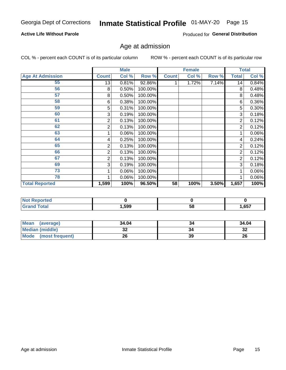## **Active Life Without Parole**

Produced for General Distribution

## Age at admission

COL % - percent each COUNT is of its particular column

|                         |              | <b>Male</b> |         |              | <b>Female</b> |       |                | <b>Total</b> |
|-------------------------|--------------|-------------|---------|--------------|---------------|-------|----------------|--------------|
| <b>Age At Admission</b> | <b>Count</b> | Col %       | Row %   | <b>Count</b> | Col %         | Row % | <b>Total</b>   | Col %        |
| 55                      | 13           | 0.81%       | 92.86%  |              | 1.72%         | 7.14% | 14             | 0.84%        |
| 56                      | 8            | 0.50%       | 100.00% |              |               |       | 8              | 0.48%        |
| 57                      | 8            | 0.50%       | 100.00% |              |               |       | 8              | 0.48%        |
| 58                      | 6            | 0.38%       | 100.00% |              |               |       | 6              | 0.36%        |
| 59                      | 5            | 0.31%       | 100.00% |              |               |       | 5              | 0.30%        |
| 60                      | 3            | 0.19%       | 100.00% |              |               |       | 3              | 0.18%        |
| 61                      | 2            | 0.13%       | 100.00% |              |               |       | $\overline{2}$ | 0.12%        |
| 62                      | 2            | 0.13%       | 100.00% |              |               |       | 2              | 0.12%        |
| 63                      |              | 0.06%       | 100.00% |              |               |       |                | 0.06%        |
| 64                      | 4            | 0.25%       | 100.00% |              |               |       | 4              | 0.24%        |
| 65                      | 2            | 0.13%       | 100.00% |              |               |       | 2              | 0.12%        |
| 66                      | 2            | 0.13%       | 100.00% |              |               |       | 2              | 0.12%        |
| 67                      | 2            | 0.13%       | 100.00% |              |               |       | 2              | 0.12%        |
| 69                      | 3            | 0.19%       | 100.00% |              |               |       | 3              | 0.18%        |
| 73                      |              | 0.06%       | 100.00% |              |               |       |                | 0.06%        |
| 78                      |              | 0.06%       | 100.00% |              |               |       |                | $0.06\%$     |
| <b>Total Reported</b>   | 1,599        | 100%        | 96.50%  | 58           | 100%          | 3.50% | 1,657          | 100%         |

| <b>NOT Reported</b> |      |    |      |
|---------------------|------|----|------|
| <b>cotal</b>        | ,599 | ၁၀ | ,657 |

| <b>Mean</b><br>(average) | 34.04 |    | 34.04     |
|--------------------------|-------|----|-----------|
| <b>Median (middle)</b>   | JZ    |    | o c<br>⊾ت |
| Mode (most frequent)     | 26    | 39 | 26        |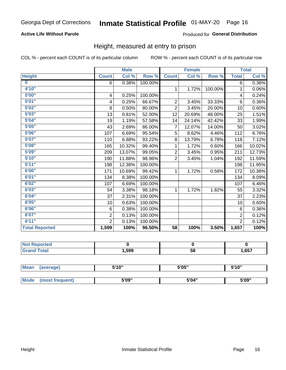## **Active Life Without Parole**

### Produced for General Distribution

## Height, measured at entry to prison

COL % - percent each COUNT is of its particular column

|                       |                | <b>Male</b> |         |                | <b>Female</b> |         |                | <b>Total</b>         |
|-----------------------|----------------|-------------|---------|----------------|---------------|---------|----------------|----------------------|
| <b>Height</b>         | <b>Count</b>   | Col %       | Row %   | <b>Count</b>   | Col %         | Row %   | <b>Total</b>   | Col %                |
| $\bf{0}$              | 6              | 0.38%       | 100.00% |                |               |         | 6              | 0.36%                |
| 4'10''                |                |             |         | $\mathbf{1}$   | 1.72%         | 100.00% | 1              | 0.06%                |
| 5'00''                | 4              | 0.25%       | 100.00% |                |               |         | 4              | 0.24%                |
| 5'01"                 | 4              | 0.25%       | 66.67%  | $\overline{2}$ | 3.45%         | 33.33%  | 6              | $0.36\%$             |
| 5'02"                 | 8              | 0.50%       | 80.00%  | $\overline{2}$ | 3.45%         | 20.00%  | 10             | 0.60%                |
| 5'03''                | 13             | 0.81%       | 52.00%  | 12             | 20.69%        | 48.00%  | 25             | 1.51%                |
| 5'04"                 | 19             | 1.19%       | 57.58%  | 14             | 24.14%        | 42.42%  | 33             | 1.99%                |
| 5'05"                 | 43             | 2.69%       | 86.00%  | 7              | 12.07%        | 14.00%  | 50             | 3.02%                |
| 5'06''                | 107            | 6.69%       | 95.54%  | 5              | 8.62%         | 4.46%   | 112            | 6.76%                |
| 5'07''                | 110            | 6.88%       | 93.22%  | 8              | 13.79%        | 6.78%   | 118            | 7.12%                |
| 5'08''                | 165            | 10.32%      | 99.40%  | 1              | 1.72%         | 0.60%   | 166            | 10.02%               |
| 5'09''                | 209            | 13.07%      | 99.05%  | $\overline{2}$ | 3.45%         | 0.95%   | 211            | $\overline{12.73\%}$ |
| 5'10''                | 190            | 11.88%      | 98.96%  | $\overline{2}$ | 3.45%         | 1.04%   | 192            | 11.59%               |
| 5'11"                 | 198            | 12.38%      | 100.00% |                |               |         | 198            | 11.95%               |
| 6'00''                | 171            | 10.69%      | 99.42%  | $\mathbf{1}$   | 1.72%         | 0.58%   | 172            | 10.38%               |
| 6'01''                | 134            | 8.38%       | 100.00% |                |               |         | 134            | 8.09%                |
| 6'02"                 | 107            | 6.69%       | 100.00% |                |               |         | 107            | 6.46%                |
| 6'03''                | 54             | 3.38%       | 98.18%  | $\mathbf{1}$   | 1.72%         | 1.82%   | 55             | 3.32%                |
| 6'04"                 | 37             | 2.31%       | 100.00% |                |               |         | 37             | 2.23%                |
| 6'05"                 | 10             | 0.63%       | 100.00% |                |               |         | 10             | 0.60%                |
| 6'06''                | 6              | 0.38%       | 100.00% |                |               |         | 6              | 0.36%                |
| 6'07''                | $\overline{2}$ | 0.13%       | 100.00% |                |               |         | $\overline{2}$ | 0.12%                |
| 6'11''                | $\overline{2}$ | 0.13%       | 100.00% |                |               |         | $\overline{2}$ | 0.12%                |
| <b>Total Reported</b> | 1,599          | 100%        | 96.50%  | 58             | 100%          | 3.50%   | 1,657          | 100%                 |

| orted<br>. |       |    |      |
|------------|-------|----|------|
| _____      | ∣,599 | 58 | .657 |

| <b>Mean</b> | (average)       | 5'10" | 5'05" | 5'10" |  |
|-------------|-----------------|-------|-------|-------|--|
|             |                 |       |       |       |  |
| Mode        | (most frequent) | 5'09" | 5'04" | 5'09" |  |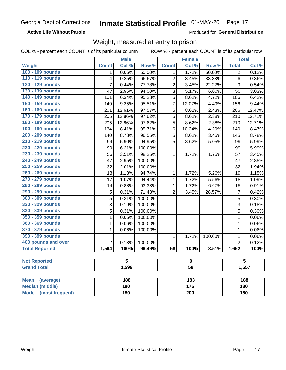### **Active Life Without Parole**

Produced for General Distribution

## Weight, measured at entry to prison

COL % - percent each COUNT is of its particular column

ROW % - percent each COUNT is of its particular row

|                          |                | <b>Male</b>             |                  |                         | <b>Female</b> |                  |                | <b>Total</b>            |
|--------------------------|----------------|-------------------------|------------------|-------------------------|---------------|------------------|----------------|-------------------------|
| Weight                   | <b>Count</b>   | Col %                   | Row <sup>%</sup> | <b>Count</b>            | Col %         | Row <sup>%</sup> | <b>Total</b>   | Col %                   |
| 100 - 109 pounds         | 1              | 0.06%                   | 50.00%           | 1                       | 1.72%         | 50.00%           | 2              | 0.12%                   |
| 110 - 119 pounds         | 4              | 0.25%                   | 66.67%           | $\overline{c}$          | 3.45%         | 33.33%           | 6              | 0.36%                   |
| 120 - 129 pounds         | 7              | 0.44%                   | 77.78%           | $\overline{2}$          | 3.45%         | 22.22%           | 9              | 0.54%                   |
| 130 - 139 pounds         | 47             | 2.95%                   | 94.00%           | 3                       | 5.17%         | 6.00%            | 50             | 3.03%                   |
| 140 - 149 pounds         | 101            | 6.34%                   | 95.28%           | 5                       | 8.62%         | 4.72%            | 106            | 6.42%                   |
| 150 - 159 pounds         | 149            | 9.35%                   | 95.51%           | 7                       | 12.07%        | 4.49%            | 156            | 9.44%                   |
| 160 - 169 pounds         | 201            | 12.61%                  | 97.57%           | 5                       | 8.62%         | 2.43%            | 206            | 12.47%                  |
| 170 - 179 pounds         | 205            | 12.86%                  | 97.62%           | 5                       | 8.62%         | 2.38%            | 210            | 12.71%                  |
| 180 - 189 pounds         | 205            | 12.86%                  | 97.62%           | 5                       | 8.62%         | 2.38%            | 210            | 12.71%                  |
| 190 - 199 pounds         | 134            | 8.41%                   | 95.71%           | 6                       | 10.34%        | 4.29%            | 140            | 8.47%                   |
| 200 - 209 pounds         | 140            | 8.78%                   | 96.55%           | 5                       | 8.62%         | 3.45%            | 145            | 8.78%                   |
| 210 - 219 pounds         | 94             | 5.90%                   | 94.95%           | 5                       | 8.62%         | 5.05%            | 99             | 5.99%                   |
| 220 - 229 pounds         | 99             | 6.21%                   | 100.00%          |                         |               |                  | 99             | 5.99%                   |
| 230 - 239 pounds         | 56             | 3.51%                   | 98.25%           | $\mathbf 1$             | 1.72%         | 1.75%            | 57             | 3.45%                   |
| 240 - 249 pounds         | 47             | 2.95%                   | 100.00%          |                         |               |                  | 47             | 2.85%                   |
| 250 - 259 pounds         | 32             | 2.01%                   | 100.00%          |                         |               |                  | 32             | 1.94%                   |
| 260 - 269 pounds         | 18             | 1.13%                   | 94.74%           | $\mathbf{1}$            | 1.72%         | 5.26%            | 19             | 1.15%                   |
| 270 - 279 pounds         | 17             | 1.07%                   | 94.44%           | $\mathbf{1}$            | 1.72%         | 5.56%            | 18             | 1.09%                   |
| 280 - 289 pounds         | 14             | 0.88%                   | 93.33%           | 1                       | 1.72%         | 6.67%            | 15             | 0.91%                   |
| 290 - 299 pounds         | $\sqrt{5}$     | 0.31%                   | 71.43%           | $\overline{2}$          | 3.45%         | 28.57%           | 7              | 0.42%                   |
| 300 - 309 pounds         | $\overline{5}$ | 0.31%                   | 100.00%          |                         |               |                  | 5              | 0.30%                   |
| 320 - 329 pounds         | $\overline{3}$ | 0.19%                   | 100.00%          |                         |               |                  | 3              | 0.18%                   |
| 330 - 339 pounds         | 5              | 0.31%                   | 100.00%          |                         |               |                  | 5              | 0.30%                   |
| 350 - 359 pounds         | $\mathbf 1$    | 0.06%                   | 100.00%          |                         |               |                  | $\mathbf{1}$   | 0.06%                   |
| 360 - 369 pounds         | $\mathbf 1$    | 0.06%                   | 100.00%          |                         |               |                  | $\mathbf 1$    | 0.06%                   |
| 370 - 379 pounds         | $\mathbf 1$    | 0.06%                   | 100.00%          |                         |               |                  | $\mathbf 1$    | 0.06%                   |
| 390 - 399 pounds         |                |                         |                  | $\mathbf 1$             | 1.72%         | 100.00%          | 1              | 0.06%                   |
| 400 pounds and over      | $\overline{2}$ | 0.13%                   | 100.00%          |                         |               |                  | $\overline{2}$ | 0.12%                   |
| <b>Total Reported</b>    | 1,594          | 100%                    | 96.49%           | $\overline{58}$         | 100%          | 3.51%            | 1,652          | 100%                    |
|                          |                |                         |                  |                         |               |                  |                |                         |
| <b>Not Reported</b>      |                | $\overline{\mathbf{5}}$ |                  | $\overline{\mathbf{0}}$ |               |                  |                | $\overline{\mathbf{5}}$ |
| <b>Grand Total</b>       |                | 1,599                   |                  | $\overline{58}$         |               |                  | 1,657          |                         |
|                          |                |                         |                  |                         |               |                  |                |                         |
| <b>Mean</b><br>(average) |                | 188                     |                  |                         | 183           |                  |                | 188                     |
| <b>Median (middle)</b>   | 180            |                         |                  | 176                     |               | 180              |                |                         |

**Mode** 

(most frequent)

 $\overline{200}$ 

 $180$ 

 $180$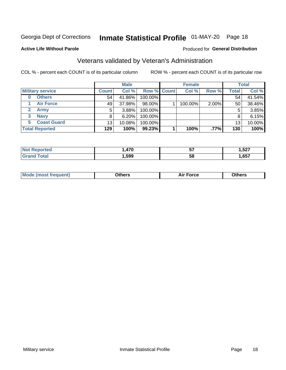# Inmate Statistical Profile 01-MAY-20 Page 18

### **Active Life Without Parole**

## Produced for General Distribution

## Veterans validated by Veteran's Administration

COL % - percent each COUNT is of its particular column

|                             |              | <b>Male</b> |                    | <b>Female</b> |       |              | <b>Total</b> |
|-----------------------------|--------------|-------------|--------------------|---------------|-------|--------------|--------------|
| <b>Military service</b>     | <b>Count</b> | Col %       | <b>Row % Count</b> | Col %         | Row % | <b>Total</b> | Col %        |
| <b>Others</b>               | 54           | 41.86%      | 100.00%            |               |       | 54           | 41.54%       |
| <b>Air Force</b>            | 49           | 37.98%      | 98.00%             | 100.00%       | 2.00% | 50           | 38.46%       |
| $\mathbf{2}$<br><b>Army</b> | 5            | 3.88%       | 100.00%            |               |       | 5            | 3.85%        |
| <b>Navy</b><br>3            | 8            | 6.20%       | 100.00%            |               |       | 8            | 6.15%        |
| <b>Coast Guard</b><br>5.    | 13           | 10.08%      | 100.00%            |               |       | 13           | 10.00%       |
| <b>Total Reported</b>       | 129          | 100%        | 99.23%             | 100%          | .77%  | 130          | 100%         |

| rrec        | 17N  | --<br>JI | E07<br>. . JZ. .<br>__ |
|-------------|------|----------|------------------------|
| $f = 4 - 7$ | ,599 | 58       | 657<br>$\sim$ .        |

| <b>Moo.</b> |
|-------------|
|-------------|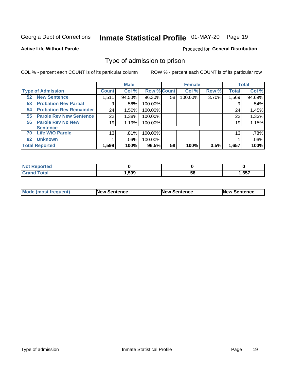# Inmate Statistical Profile 01-MAY-20 Page 19

## **Active Life Without Parole**

### Produced for General Distribution

## Type of admission to prison

COL % - percent each COUNT is of its particular column

|                                      |                 | <b>Male</b> |                    |    | <b>Female</b> |       |              | <b>Total</b> |
|--------------------------------------|-----------------|-------------|--------------------|----|---------------|-------|--------------|--------------|
| <b>Type of Admission</b>             | <b>Count</b>    | Col %       | <b>Row % Count</b> |    | Col %         | Row % | <b>Total</b> | Col %        |
| <b>New Sentence</b><br>52            | 1,511           | 94.50%      | 96.30%             | 58 | 100.00%       | 3.70% | 1,569        | 94.69%       |
| <b>Probation Rev Partial</b><br>53   | 9               | .56%        | 100.00%            |    |               |       | 9            | .54%         |
| <b>Probation Rev Remainder</b><br>54 | 24              | 1.50%       | 100.00%            |    |               |       | 24           | 1.45%        |
| <b>Parole Rev New Sentence</b><br>55 | 22 <sub>1</sub> | 1.38%       | 100.00%            |    |               |       | 22           | 1.33%        |
| <b>Parole Rev No New</b><br>56       | 19              | 1.19%       | 100.00%            |    |               |       | 19           | 1.15%        |
| <b>Sentence</b>                      |                 |             |                    |    |               |       |              |              |
| <b>Life W/O Parole</b><br>70         | 13              | .81%        | 100.00%            |    |               |       | 13           | .78%         |
| <b>Unknown</b><br>82                 |                 | .06%        | 100.00%            |    |               |       |              | .06%         |
| <b>Total Reported</b>                | 1,599           | 100%        | 96.5%              | 58 | 100%          | 3.5%  | 1,657        | 100%         |

| <b>Not Reported</b>         |       |           |       |
|-----------------------------|-------|-----------|-------|
| Гоtal<br>"Gran <sub>"</sub> | 599,⊧ | - -<br>58 | 1,657 |

| <b>Mode (most frequent)</b> | <b>New Sentence</b> | <b>New Sentence</b> | <b>New Sentence</b> |
|-----------------------------|---------------------|---------------------|---------------------|
|                             |                     |                     |                     |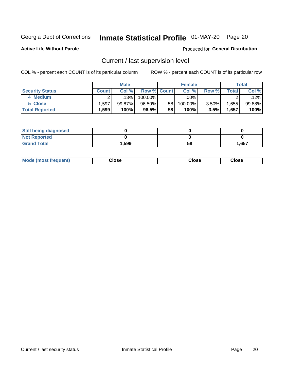# Inmate Statistical Profile 01-MAY-20 Page 20

**Active Life Without Parole** 

### Produced for General Distribution

## Current / last supervision level

COL % - percent each COUNT is of its particular column

|                        |              | <b>Male</b> |                    |    | <b>Female</b> |          |       | Total  |
|------------------------|--------------|-------------|--------------------|----|---------------|----------|-------|--------|
| <b>Security Status</b> | <b>Count</b> | Col%        | <b>Row % Count</b> |    | Col %         | Row %    | Total | Col %  |
| 4 Medium               |              | .13%        | 100.00%            |    | .00%          |          |       | .12%   |
| 5 Close                | .597         | $99.87\%$   | 96.50%             | 58 | 100.00%       | $3.50\%$ | .655  | 99.88% |
| <b>Total Reported</b>  | ,599         | 100%        | 96.5%              | 58 | 100%          | 3.5%     | 1,657 | 100%   |

| <b>Still being diagnosed</b> |       |    |       |
|------------------------------|-------|----|-------|
| <b>Not Reported</b>          |       |    |       |
| <b>Grand Total</b>           | 1,599 | 58 | 1,657 |

| Mode (m<br>rreguent)<br>mso | lose: | Close | Close |
|-----------------------------|-------|-------|-------|
|                             |       |       |       |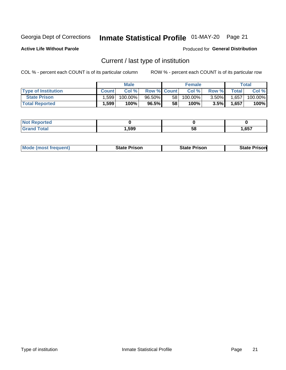# Inmate Statistical Profile 01-MAY-20 Page 21

**Active Life Without Parole** 

Produced for General Distribution

## Current / last type of institution

COL % - percent each COUNT is of its particular column

|                            |        | <b>Male</b> |                    |                 | <b>Female</b> |          |           | <b>Total</b> |
|----------------------------|--------|-------------|--------------------|-----------------|---------------|----------|-----------|--------------|
| <b>Type of Institution</b> | Count. | Col%        | <b>Row % Count</b> |                 | Col %         | Row %    | Total     | Col %        |
| <b>State Prison</b>        | ∣.599  | $100.00\%$  | $96.50\%$          | 58 <sub>1</sub> | $100.00\%$    | $3.50\%$ | $1,657 +$ | 100.00%      |
| <b>Total Reported</b>      | 1,599  | 100%        | 96.5%              | 58              | $100\%$ .     | 3.5%     | 1,657     | 100%         |

| τeα         |      |    |      |
|-------------|------|----|------|
| $- - - - -$ | ,599 | ၁၀ | ,657 |

| <b>Mode (most frequent)</b> | State Prison | <b>State Prison</b> | State<br>⊦ Prisonl |
|-----------------------------|--------------|---------------------|--------------------|
|-----------------------------|--------------|---------------------|--------------------|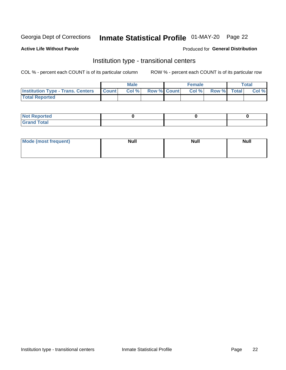# Inmate Statistical Profile 01-MAY-20 Page 22

## **Active Life Without Parole**

### Produced for General Distribution

## Institution type - transitional centers

COL % - percent each COUNT is of its particular column

|                                                | <b>Male</b> |                    | <b>Female</b> |             | <b>Total</b> |
|------------------------------------------------|-------------|--------------------|---------------|-------------|--------------|
| <b>Institution Type - Trans. Centers Count</b> | CoI%        | <b>Row % Count</b> | Col % I       | Row % Total | Col %        |
| <b>Total Reported</b>                          |             |                    |               |             |              |

| <b>Reported</b><br><b>NOT</b><br>$\sim$            |  |  |
|----------------------------------------------------|--|--|
| $f$ $f \circ f \circ f$<br>$C = 1$<br><b>TULAI</b> |  |  |

| Mode (most frequent) | <b>Null</b> | <b>Null</b> | <b>Null</b> |
|----------------------|-------------|-------------|-------------|
|                      |             |             |             |
|                      |             |             |             |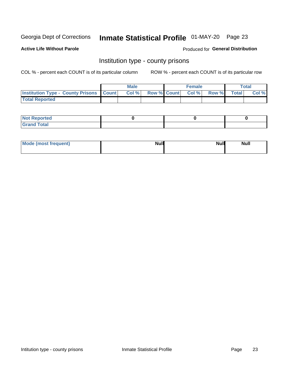# Inmate Statistical Profile 01-MAY-20 Page 23

**Active Life Without Parole** 

Produced for General Distribution

## Institution type - county prisons

COL % - percent each COUNT is of its particular column

|                                                    | <b>Male</b> |  | <b>Female</b>            |             | <b>Total</b> |
|----------------------------------------------------|-------------|--|--------------------------|-------------|--------------|
| <b>Institution Type - County Prisons   Count  </b> | Col %       |  | <b>Row % Count Col %</b> | Row % Total | Col %        |
| <b>Total Reported</b>                              |             |  |                          |             |              |

| <b>Not</b><br>: Reported<br> |  |  |
|------------------------------|--|--|
| <b>Total</b><br>---          |  |  |

| Mode (most frequent) | <b>Null</b> | <b>Null</b><br><b>Null</b> |
|----------------------|-------------|----------------------------|
|                      |             |                            |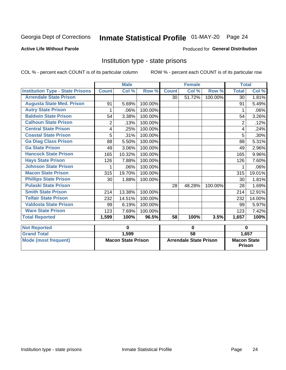# Inmate Statistical Profile 01-MAY-20 Page 24

## **Active Life Without Parole**

### Produced for General Distribution

## Institution type - state prisons

COL % - percent each COUNT is of its particular column

|                                         | <b>Male</b>               |        |                               |              | <b>Female</b> |                                     | <b>Total</b> |                            |
|-----------------------------------------|---------------------------|--------|-------------------------------|--------------|---------------|-------------------------------------|--------------|----------------------------|
| <b>Institution Type - State Prisons</b> | <b>Count</b>              | Col %  | Row %                         | <b>Count</b> | Col %         | Row %                               | <b>Total</b> | $\overline{\text{Col }\%}$ |
| <b>Arrendale State Prison</b>           |                           |        |                               | 30           | 51.72%        | 100.00%                             | 30           | 1.81%                      |
| <b>Augusta State Med. Prison</b>        | 91                        | 5.69%  | 100.00%                       |              |               |                                     | 91           | 5.49%                      |
| <b>Autry State Prison</b>               | 1                         | .06%   | 100.00%                       |              |               |                                     | 1            | .06%                       |
| <b>Baldwin State Prison</b>             | 54                        | 3.38%  | 100.00%                       |              |               |                                     | 54           | 3.26%                      |
| <b>Calhoun State Prison</b>             | 2                         | .13%   | 100.00%                       |              |               |                                     | 2            | .12%                       |
| <b>Central State Prison</b>             | 4                         | .25%   | 100.00%                       |              |               |                                     | 4            | .24%                       |
| <b>Coastal State Prison</b>             | 5                         | .31%   | 100.00%                       |              |               |                                     | 5            | .30%                       |
| <b>Ga Diag Class Prison</b>             | 88                        | 5.50%  | 100.00%                       |              |               |                                     | 88           | 5.31%                      |
| <b>Ga State Prison</b>                  | 49                        | 3.06%  | 100.00%                       |              |               |                                     | 49           | 2.96%                      |
| <b>Hancock State Prison</b>             | 165                       | 10.32% | 100.00%                       |              |               |                                     | 165          | 9.96%                      |
| <b>Hays State Prison</b>                | 126                       | 7.88%  | 100.00%                       |              |               |                                     | 126          | 7.60%                      |
| <b>Johnson State Prison</b>             | 1                         | .06%   | 100.00%                       |              |               |                                     | 1            | .06%                       |
| <b>Macon State Prison</b>               | 315                       | 19.70% | 100.00%                       |              |               |                                     | 315          | 19.01%                     |
| <b>Phillips State Prison</b>            | 30                        | 1.88%  | 100.00%                       |              |               |                                     | 30           | 1.81%                      |
| <b>Pulaski State Prison</b>             |                           |        |                               | 28           | 48.28%        | 100.00%                             | 28           | 1.69%                      |
| <b>Smith State Prison</b>               | 214                       | 13.38% | 100.00%                       |              |               |                                     | 214          | 12.91%                     |
| <b>Telfair State Prison</b>             | 232                       | 14.51% | 100.00%                       |              |               |                                     | 232          | 14.00%                     |
| <b>Valdosta State Prison</b>            | 99                        | 6.19%  | 100.00%                       |              |               |                                     | 99           | 5.97%                      |
| <b>Ware State Prison</b>                | 123                       | 7.69%  | 100.00%                       |              |               |                                     | 123          | 7.42%                      |
| <b>Total Reported</b>                   | 1,599                     | 100%   | 96.5%                         | 58           | 100%          | 3.5%                                | 1,657        | 100%                       |
| <b>Not Reported</b>                     | 0                         |        | $\bf{0}$                      |              |               | $\bf{0}$                            |              |                            |
| <b>Grand Total</b>                      |                           | 1,599  |                               | 58           |               |                                     |              | 1,657                      |
| <b>Mode (most frequent)</b>             | <b>Macon State Prison</b> |        | <b>Arrendale State Prison</b> |              |               | <b>Macon State</b><br><b>Prison</b> |              |                            |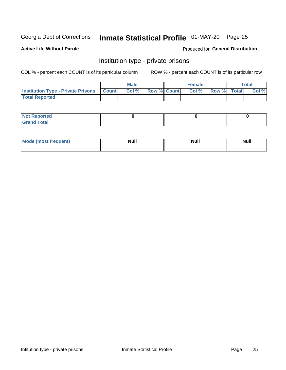# Inmate Statistical Profile 01-MAY-20 Page 25

**Active Life Without Parole** 

Produced for General Distribution

## Institution type - private prisons

COL % - percent each COUNT is of its particular column

|                                                     | <b>Male</b> |       |                    | <b>Female</b> |       |             | Total |       |
|-----------------------------------------------------|-------------|-------|--------------------|---------------|-------|-------------|-------|-------|
| <b>Institution Type - Private Prisons   Count  </b> |             | Col % | <b>Row % Count</b> |               | Col % | Row % Total |       | Col % |
| <b>Total Reported</b>                               |             |       |                    |               |       |             |       |       |

| Not Reported          |  |  |
|-----------------------|--|--|
| <b>Cotal</b><br>_____ |  |  |

| <b>Mo</b><br>frequent) | <b>Null</b> | <b>Null</b> | . . I *<br><b>IVUII</b> |
|------------------------|-------------|-------------|-------------------------|
|                        |             |             |                         |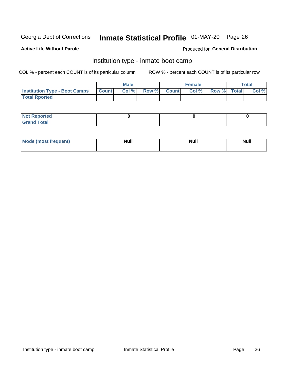# Inmate Statistical Profile 01-MAY-20 Page 26

### **Active Life Without Parole**

### Produced for General Distribution

## Institution type - inmate boot camp

COL % - percent each COUNT is of its particular column

|                                      | <b>Male</b>  |       |               |              | <b>Female</b> | <b>Total</b> |  |       |
|--------------------------------------|--------------|-------|---------------|--------------|---------------|--------------|--|-------|
| <b>Institution Type - Boot Camps</b> | <b>Count</b> | Col % | <b>Row %I</b> | <b>Count</b> | Col %         | Row % Total  |  | Col % |
| <b>Total Rported</b>                 |              |       |               |              |               |              |  |       |

| <b>Not Reported</b>            |  |  |
|--------------------------------|--|--|
| <b>Total</b><br>C <sub>r</sub> |  |  |

| Mod<br>uamo | Nul.<br>$- - - - - -$ | <b>Null</b> | <br>uu.<br>------ |
|-------------|-----------------------|-------------|-------------------|
|             |                       |             |                   |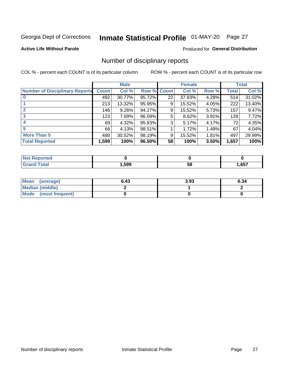# Inmate Statistical Profile 01-MAY-20 Page 27

### **Active Life Without Parole**

## **Produced for General Distribution**

## Number of disciplinary reports

COL % - percent each COUNT is of its particular column

|                                       | <b>Male</b>  |          |        | <b>Female</b> |        |       | <b>Total</b> |        |
|---------------------------------------|--------------|----------|--------|---------------|--------|-------|--------------|--------|
| <b>Number of Disciplinary Reports</b> | <b>Count</b> | Col %    | Row %  | <b>Count</b>  | Col %  | Row % | Total        | Col %  |
|                                       | 492          | 30.77%   | 95.72% | 22            | 37.93% | 4.28% | 514          | 31.02% |
|                                       | 213          | 13.32%   | 95.95% | 9             | 15.52% | 4.05% | 222          | 13.40% |
| $\mathbf{2}$                          | 148          | $9.26\%$ | 94.27% | 9             | 15.52% | 5.73% | 157          | 9.47%  |
| 3                                     | 123          | 7.69%    | 96.09% | 5             | 8.62%  | 3.91% | 128          | 7.72%  |
|                                       | 69           | 4.32%    | 95.83% | 3             | 5.17%  | 4.17% | 72           | 4.35%  |
| 5                                     | 66           | 4.13%    | 98.51% |               | 1.72%  | 1.49% | 67           | 4.04%  |
| <b>More Than 5</b>                    | 488          | 30.52%   | 98.19% | 9             | 15.52% | 1.81% | 497          | 29.99% |
| <b>Total Reported</b>                 | 1,599        | 100%     | 96.50% | 58            | 100%   | 3.50% | 1,657        | 100%   |

| IN 6         |      |    |      |
|--------------|------|----|------|
| <b>Total</b> | .599 | Ⴢჾ | ,657 |

| Mean (average)       | 6.43 | 3.93 | 6.34 |
|----------------------|------|------|------|
| Median (middle)      |      |      |      |
| Mode (most frequent) |      |      |      |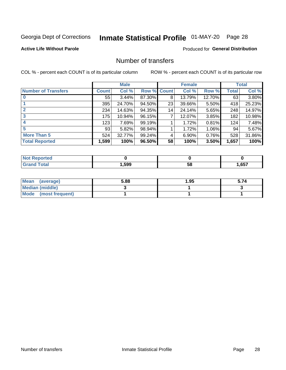# Inmate Statistical Profile 01-MAY-20 Page 28

## **Active Life Without Parole**

## **Produced for General Distribution**

## Number of transfers

COL % - percent each COUNT is of its particular column

|                            |         | <b>Male</b> |        |              | <b>Female</b> |          |              | <b>Total</b> |
|----------------------------|---------|-------------|--------|--------------|---------------|----------|--------------|--------------|
| <b>Number of Transfers</b> | Count l | Col %       | Row %  | <b>Count</b> | Col %         | Row %    | <b>Total</b> | Col %        |
|                            | 55      | $3.44\%$    | 87.30% | 8            | 13.79%        | 12.70%   | 63           | 3.80%        |
|                            | 395     | 24.70%      | 94.50% | 23           | 39.66%        | $5.50\%$ | 418          | 25.23%       |
| $\mathbf{2}$               | 234     | 14.63%      | 94.35% | 14           | 24.14%        | 5.65%    | 248          | 14.97%       |
| 3                          | 175     | 10.94%      | 96.15% | 7            | 12.07%        | 3.85%    | 182          | 10.98%       |
| 4                          | 123     | 7.69%       | 99.19% |              | 1.72%         | 0.81%    | 124          | 7.48%        |
| 5                          | 93      | 5.82%       | 98.94% |              | 1.72%         | 1.06%    | 94           | 5.67%        |
| <b>More Than 5</b>         | 524     | 32.77%      | 99.24% | 4            | 6.90%         | 0.76%    | 528          | 31.86%       |
| <b>Total Reported</b>      | 1,599   | 100%        | 96.50% | 58           | 100%          | 3.50%    | 1,657        | 100%         |

| วrted<br>NO  |      |    |      |
|--------------|------|----|------|
| <b>Total</b> | ,599 | ၁၀ | ,657 |

| Mean (average)         | 5.88 | 1.95 | 5.74 |
|------------------------|------|------|------|
| <b>Median (middle)</b> |      |      |      |
| Mode (most frequent)   |      |      |      |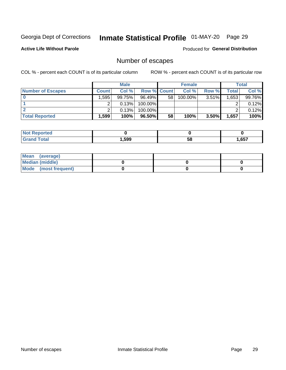# Inmate Statistical Profile 01-MAY-20 Page 29

**Active Life Without Parole** 

Produced for General Distribution

## Number of escapes

COL % - percent each COUNT is of its particular column

|                          | <b>Male</b>  |        |                    | <b>Female</b> |         |          | Total |        |
|--------------------------|--------------|--------|--------------------|---------------|---------|----------|-------|--------|
| <b>Number of Escapes</b> | <b>Count</b> | Col %  | <b>Row % Count</b> |               | Col %   | Row %    | Total | Col %  |
|                          | ا 595.       | 99.75% | $96.49\%$          | 58            | 100.00% | $3.51\%$ | .653  | 99.76% |
|                          |              | 0.13%  | 100.00%            |               |         |          |       | 0.12%  |
|                          |              | 0.13%  | $100.00\%$         |               |         |          |       | 0.12%  |
| <b>Total Reported</b>    | $.599^+$     | 100%   | 96.50%             | 58            | 100%    | 3.50%    | 1,657 | 100%   |

| <b>Not Reported</b> |      |    |       |
|---------------------|------|----|-------|
| <b>Grand Total</b>  | ,599 | 58 | .,657 |

| Mean (average)         |  |  |
|------------------------|--|--|
| <b>Median (middle)</b> |  |  |
| Mode (most frequent)   |  |  |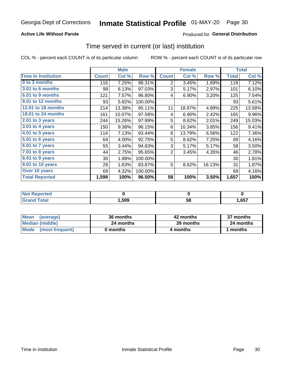## **Active Life Without Parole**

## **Produced for General Distribution**

## Time served in current (or last) institution

COL % - percent each COUNT is of its particular column

|                            |              | <b>Male</b> |         | <b>Female</b>  |        |        | <b>Total</b> |        |
|----------------------------|--------------|-------------|---------|----------------|--------|--------|--------------|--------|
| <b>Time In Institution</b> | <b>Count</b> | Col %       | Row %   | <b>Count</b>   | Col %  | Row %  | <b>Total</b> | Col %  |
| 0 to 3 months              | 116          | 7.25%       | 98.31%  | 2              | 3.45%  | 1.69%  | 118          | 7.12%  |
| <b>3.01 to 6 months</b>    | 98           | 6.13%       | 97.03%  | 3              | 5.17%  | 2.97%  | 101          | 6.10%  |
| 6.01 to 9 months           | 121          | 7.57%       | 96.80%  | 4              | 6.90%  | 3.20%  | 125          | 7.54%  |
| 9.01 to 12 months          | 93           | 5.82%       | 100.00% |                |        |        | 93           | 5.61%  |
| 12.01 to 18 months         | 214          | 13.38%      | 95.11%  | 11             | 18.97% | 4.89%  | 225          | 13.58% |
| <b>18.01 to 24 months</b>  | 161          | 10.07%      | 97.58%  | 4              | 6.90%  | 2.42%  | 165          | 9.96%  |
| $2.01$ to 3 years          | 244          | 15.26%      | 97.99%  | 5              | 8.62%  | 2.01%  | 249          | 15.03% |
| $3.01$ to 4 years          | 150          | 9.38%       | 96.15%  | 6              | 10.34% | 3.85%  | 156          | 9.41%  |
| 4.01 to 5 years            | 114          | 7.13%       | 93.44%  | 8              | 13.79% | 6.56%  | 122          | 7.36%  |
| 5.01 to 6 years            | 64           | 4.00%       | 92.75%  | 5              | 8.62%  | 7.25%  | 69           | 4.16%  |
| 6.01 to 7 years            | 55           | 3.44%       | 94.83%  | 3              | 5.17%  | 5.17%  | 58           | 3.50%  |
| 7.01 to 8 years            | 44           | 2.75%       | 95.65%  | $\overline{2}$ | 3.45%  | 4.35%  | 46           | 2.78%  |
| 8.01 to 9 years            | 30           | 1.88%       | 100.00% |                |        |        | 30           | 1.81%  |
| 9.01 to 10 years           | 26           | 1.63%       | 83.87%  | 5              | 8.62%  | 16.13% | 31           | 1.87%  |
| Over 10 years              | 69           | 4.32%       | 100.00% |                |        |        | 69           | 4.16%  |
| <b>Total Reported</b>      | 1,599        | 100%        | 96.50%  | 58             | 100%   | 3.50%  | 1,657        | 100%   |

| <b>Not</b><br><b>Reported</b> |      |    |      |
|-------------------------------|------|----|------|
| <i>i</i> otal                 | ,599 | วง | ,657 |

| <b>Mean</b><br>(average) | 36 months | 42 months | 37 months |
|--------------------------|-----------|-----------|-----------|
| Median (middle)          | 24 months | 39 months | 24 months |
| Mode (most frequent)     | 0 months  | 4 months  | 1 months  |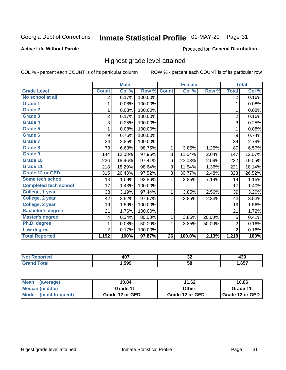# Inmate Statistical Profile 01-MAY-20 Page 31

### **Active Life Without Parole**

### Produced for General Distribution

## Highest grade level attained

COL % - percent each COUNT is of its particular column

|                              |                | <b>Male</b> |         |                 | <b>Female</b> |        |                | <b>Total</b> |
|------------------------------|----------------|-------------|---------|-----------------|---------------|--------|----------------|--------------|
| <b>Grade Level</b>           | <b>Count</b>   | Col %       | Row %   | <b>Count</b>    | Col %         | Row %  | <b>Total</b>   | Col %        |
| No school at all             | 2              | 0.17%       | 100.00% |                 |               |        | $\overline{2}$ | 0.16%        |
| <b>Grade 1</b>               | 1              | 0.08%       | 100.00% |                 |               |        | 1              | 0.08%        |
| <b>Grade 2</b>               | 1              | 0.08%       | 100.00% |                 |               |        | 1              | 0.08%        |
| <b>Grade 3</b>               | $\overline{2}$ | 0.17%       | 100.00% |                 |               |        | $\overline{2}$ | 0.16%        |
| Grade 4                      | 3              | 0.25%       | 100.00% |                 |               |        | 3              | 0.25%        |
| Grade 5                      | 1              | 0.08%       | 100.00% |                 |               |        | 1              | 0.08%        |
| Grade 6                      | 9              | 0.76%       | 100.00% |                 |               |        | 9              | 0.74%        |
| Grade 7                      | 34             | 2.85%       | 100.00% |                 |               |        | 34             | 2.79%        |
| <b>Grade 8</b>               | 79             | 6.63%       | 98.75%  | 1               | 3.85%         | 1.25%  | 80             | 6.57%        |
| Grade 9                      | 144            | 12.08%      | 97.96%  | 3               | 11.54%        | 2.04%  | 147            | 12.07%       |
| Grade 10                     | 226            | 18.96%      | 97.41%  | 6               | 23.08%        | 2.59%  | 232            | 19.05%       |
| Grade 11                     | 218            | 18.29%      | 98.64%  | 3               | 11.54%        | 1.36%  | 221            | 18.14%       |
| <b>Grade 12 or GED</b>       | 315            | 26.43%      | 97.52%  | 8               | 30.77%        | 2.48%  | 323            | 26.52%       |
| Some tech school             | 13             | 1.09%       | 92.86%  | 1               | 3.85%         | 7.14%  | 14             | 1.15%        |
| <b>Completed tech school</b> | 17             | 1.43%       | 100.00% |                 |               |        | 17             | 1.40%        |
| College, 1 year              | 38             | 3.19%       | 97.44%  | 1               | 3.85%         | 2.56%  | 39             | 3.20%        |
| College, 2 year              | 42             | 3.52%       | 97.67%  | 1               | 3.85%         | 2.33%  | 43             | 3.53%        |
| College, 3 year              | 19             | 1.59%       | 100.00% |                 |               |        | 19             | 1.56%        |
| <b>Bachelor's degree</b>     | 21             | 1.76%       | 100.00% |                 |               |        | 21             | 1.72%        |
| <b>Master's degree</b>       | 4              | 0.34%       | 80.00%  | 1               | 3.85%         | 20.00% | 5              | 0.41%        |
| Ph.D. degree                 | 1              | 0.08%       | 50.00%  | 1               | 3.85%         | 50.00% | $\overline{2}$ | 0.16%        |
| Law degree                   | $\overline{2}$ | 0.17%       | 100.00% |                 |               |        | $\overline{2}$ | 0.16%        |
| <b>Total Reported</b>        | 1,192          | 100%        | 97.87%  | $\overline{26}$ | 100.0%        | 2.13%  | 1,218          | 100%         |

| NG   | <b>AN7</b> | ^^ | .    |
|------|------------|----|------|
|      | ו שד       | ◡∠ | ーつこ  |
| υιαι | 599. ا     | 58 | ,657 |

| <b>Mean</b><br>(average) | 10.84           | 11.62           | 10.86           |
|--------------------------|-----------------|-----------------|-----------------|
| <b>Median (middle)</b>   | Grade 11        | Other           | Grade 11        |
| Mode<br>(most frequent)  | Grade 12 or GED | Grade 12 or GED | Grade 12 or GED |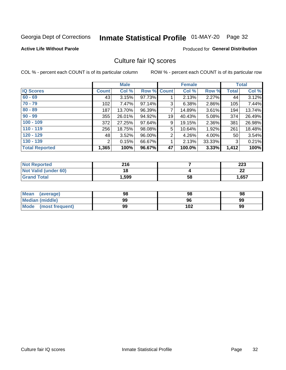# Inmate Statistical Profile 01-MAY-20 Page 32

### **Active Life Without Parole**

## **Produced for General Distribution**

## Culture fair IQ scores

COL % - percent each COUNT is of its particular column

|                       |                | <b>Male</b> |        |                | <b>Female</b> |          |              | <b>Total</b> |
|-----------------------|----------------|-------------|--------|----------------|---------------|----------|--------------|--------------|
| <b>IQ Scores</b>      | <b>Count</b>   | Col %       | Row %  | Count          | Col %         | Row %    | <b>Total</b> | Col %        |
| $60 - 69$             | 43             | 3.15%       | 97.73% |                | 2.13%         | 2.27%    | 44           | 3.12%        |
| $70 - 79$             | 102            | 7.47%       | 97.14% | 3              | 6.38%         | 2.86%    | 105          | 7.44%        |
| $80 - 89$             | 187            | 13.70%      | 96.39% | 7              | 14.89%        | $3.61\%$ | 194          | 13.74%       |
| $90 - 99$             | 355            | 26.01%      | 94.92% | 19             | 40.43%        | 5.08%    | 374          | 26.49%       |
| $100 - 109$           | 372            | 27.25%      | 97.64% | 9              | 19.15%        | 2.36%    | 381          | 26.98%       |
| $110 - 119$           | 256            | 18.75%      | 98.08% | 5              | 10.64%        | 1.92%    | 261          | 18.48%       |
| $120 - 129$           | 48             | 3.52%       | 96.00% | $\overline{2}$ | 4.26%         | $4.00\%$ | 50           | 3.54%        |
| $130 - 139$           | $\overline{2}$ | 0.15%       | 66.67% | 1              | 2.13%         | 33.33%   | 3            | 0.21%        |
| <b>Total Reported</b> | 1,365          | 100%        | 96.67% | 47             | 100.0%        | 3.33%    | 1,412        | 100%         |

| <b>Not Reported</b>  | 216   |    | 223     |
|----------------------|-------|----|---------|
| Not Valid (under 60) | 18    |    | ົ<br>LL |
| <b>Grand Total</b>   | 1,599 | 58 | 1,657   |

| Mean<br>(average)    | 98 | 98  | 98 |
|----------------------|----|-----|----|
| Median (middle)      | 99 | 96  | 99 |
| Mode (most frequent) | 99 | 102 | 99 |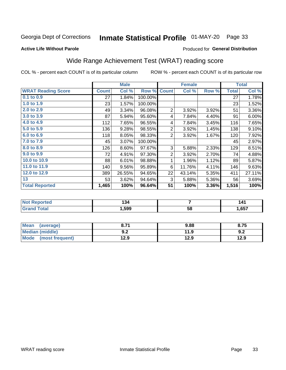# Inmate Statistical Profile 01-MAY-20 Page 33

### **Active Life Without Parole**

## Produced for General Distribution

## Wide Range Achievement Test (WRAT) reading score

COL % - percent each COUNT is of its particular column

|                           |              | <b>Male</b> |         | <b>Female</b>  |        |       | <b>Total</b> |        |
|---------------------------|--------------|-------------|---------|----------------|--------|-------|--------------|--------|
| <b>WRAT Reading Score</b> | <b>Count</b> | Col %       | Row %   | <b>Count</b>   | Col %  | Row % | <b>Total</b> | Col %  |
| 0.1 to 0.9                | 27           | 1.84%       | 100.00% |                |        |       | 27           | 1.78%  |
| 1.0 to 1.9                | 23           | 1.57%       | 100.00% |                |        |       | 23           | 1.52%  |
| 2.0 to 2.9                | 49           | 3.34%       | 96.08%  | $\overline{2}$ | 3.92%  | 3.92% | 51           | 3.36%  |
| 3.0 to 3.9                | 87           | 5.94%       | 95.60%  | 4              | 7.84%  | 4.40% | 91           | 6.00%  |
| 4.0 to 4.9                | 112          | 7.65%       | 96.55%  | 4              | 7.84%  | 3.45% | 116          | 7.65%  |
| 5.0 to 5.9                | 136          | 9.28%       | 98.55%  | $\overline{2}$ | 3.92%  | 1.45% | 138          | 9.10%  |
| 6.0 to 6.9                | 118          | 8.05%       | 98.33%  | $\overline{2}$ | 3.92%  | 1.67% | 120          | 7.92%  |
| 7.0 to 7.9                | 45           | 3.07%       | 100.00% |                |        |       | 45           | 2.97%  |
| 8.0 to 8.9                | 126          | 8.60%       | 97.67%  | 3              | 5.88%  | 2.33% | 129          | 8.51%  |
| 9.0 to 9.9                | 72           | 4.91%       | 97.30%  | $\overline{2}$ | 3.92%  | 2.70% | 74           | 4.88%  |
| 10.0 to 10.9              | 88           | 6.01%       | 98.88%  | 1              | 1.96%  | 1.12% | 89           | 5.87%  |
| 11.0 to 11.9              | 140          | 9.56%       | 95.89%  | 6              | 11.76% | 4.11% | 146          | 9.63%  |
| 12.0 to 12.9              | 389          | 26.55%      | 94.65%  | 22             | 43.14% | 5.35% | 411          | 27.11% |
| 13                        | 53           | 3.62%       | 94.64%  | 3              | 5.88%  | 5.36% | 56           | 3.69%  |
| <b>Total Reported</b>     | 1,465        | 100%        | 96.64%  | 51             | 100%   | 3.36% | 1,516        | 100%   |

| <b>Not Reported</b>   | .<br>34 ا |    | 141   |
|-----------------------|-----------|----|-------|
| <b>Total</b><br>Grand | 599, ا    | 58 | .,657 |

| <b>Mean</b><br>(average)       | גי כ<br>o. / I     | 9.88 | 8.75 |
|--------------------------------|--------------------|------|------|
| Median (middle)                | י ה<br><u> ม.∠</u> | 11.9 | 9.2  |
| <b>Mode</b><br>(most frequent) | 12.9               | 12.9 | 12.9 |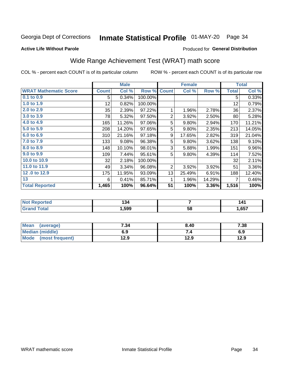# Inmate Statistical Profile 01-MAY-20 Page 34

### **Active Life Without Parole**

## Produced for General Distribution

## Wide Range Achievement Test (WRAT) math score

COL % - percent each COUNT is of its particular column

|                              |              | <b>Male</b> |         |                | <b>Female</b> |        |              | <b>Total</b> |
|------------------------------|--------------|-------------|---------|----------------|---------------|--------|--------------|--------------|
| <b>WRAT Mathematic Score</b> | <b>Count</b> | Col %       | Row %   | <b>Count</b>   | Col %         | Row %  | <b>Total</b> | Col %        |
| 0.1 to 0.9                   | 5            | 0.34%       | 100.00% |                |               |        | 5            | 0.33%        |
| 1.0 to 1.9                   | 12           | 0.82%       | 100.00% |                |               |        | 12           | 0.79%        |
| 2.0 to 2.9                   | 35           | 2.39%       | 97.22%  | 1              | 1.96%         | 2.78%  | 36           | 2.37%        |
| 3.0 to 3.9                   | 78           | 5.32%       | 97.50%  | $\overline{2}$ | 3.92%         | 2.50%  | 80           | 5.28%        |
| 4.0 to 4.9                   | 165          | 11.26%      | 97.06%  | 5              | 9.80%         | 2.94%  | 170          | 11.21%       |
| 5.0 to 5.9                   | 208          | 14.20%      | 97.65%  | 5              | 9.80%         | 2.35%  | 213          | 14.05%       |
| 6.0 to 6.9                   | 310          | 21.16%      | 97.18%  | 9              | 17.65%        | 2.82%  | 319          | 21.04%       |
| 7.0 to 7.9                   | 133          | 9.08%       | 96.38%  | 5              | 9.80%         | 3.62%  | 138          | 9.10%        |
| 8.0 to 8.9                   | 148          | 10.10%      | 98.01%  | 3              | 5.88%         | 1.99%  | 151          | $9.96\%$     |
| 9.0 to 9.9                   | 109          | 7.44%       | 95.61%  | 5              | 9.80%         | 4.39%  | 114          | 7.52%        |
| 10.0 to 10.9                 | 32           | 2.18%       | 100.00% |                |               |        | 32           | 2.11%        |
| 11.0 to 11.9                 | 49           | 3.34%       | 96.08%  | $\overline{2}$ | 3.92%         | 3.92%  | 51           | 3.36%        |
| 12.0 to 12.9                 | 175          | 11.95%      | 93.09%  | 13             | 25.49%        | 6.91%  | 188          | 12.40%       |
| 13                           | 6            | 0.41%       | 85.71%  | 1              | 1.96%         | 14.29% | 7            | 0.46%        |
| <b>Total Reported</b>        | 1,465        | 100%        | 96.64%  | 51             | 100%          | 3.36%  | 1,516        | 100%         |

| ≺eportea              | 194  |    | I 4   |
|-----------------------|------|----|-------|
| 'otal<br>$\mathbf{v}$ | ,599 | 58 | .,657 |

| <b>Mean</b><br>(average)       | 7.34 | 8.40 | 7.38 |
|--------------------------------|------|------|------|
| <b>Median (middle)</b>         | 6.9  |      | 6.9  |
| <b>Mode</b><br>(most frequent) | l2.9 | 12.9 | 12.9 |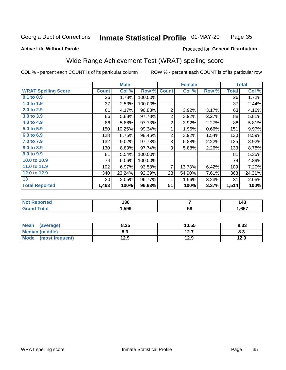#### Inmate Statistical Profile 01-MAY-20 Page 35

### **Active Life Without Parole**

### Produced for General Distribution

## Wide Range Achievement Test (WRAT) spelling score

COL % - percent each COUNT is of its particular column

|                            |              | <b>Male</b> |         | <b>Female</b>  |                |       | <b>Total</b> |        |
|----------------------------|--------------|-------------|---------|----------------|----------------|-------|--------------|--------|
| <b>WRAT Spelling Score</b> | <b>Count</b> | Col %       | Row %   | <b>Count</b>   | Col %          | Row % | <b>Total</b> | Col %  |
| $0.1$ to $0.9$             | 26           | 1.78%       | 100.00% |                |                |       | 26           | 1.72%  |
| 1.0 to 1.9                 | 37           | 2.53%       | 100.00% |                |                |       | 37           | 2.44%  |
| 2.0 to 2.9                 | 61           | 4.17%       | 96.83%  | $\overline{2}$ | 3.92%          | 3.17% | 63           | 4.16%  |
| 3.0 to 3.9                 | 86           | 5.88%       | 97.73%  | 2              | 3.92%          | 2.27% | 88           | 5.81%  |
| 4.0 to 4.9                 | 86           | 5.88%       | 97.73%  | $\overline{2}$ | 3.92%          | 2.27% | 88           | 5.81%  |
| 5.0 to 5.9                 | 150          | 10.25%      | 99.34%  | 1              | 1.96%          | 0.66% | 151          | 9.97%  |
| 6.0 to 6.9                 | 128          | 8.75%       | 98.46%  | $\overline{2}$ | 3.92%          | 1.54% | 130          | 8.59%  |
| 7.0 to 7.9                 | 132          | 9.02%       | 97.78%  | 3              | 5.88%          | 2.22% | 135          | 8.92%  |
| 8.0 to 8.9                 | 130          | 8.89%       | 97.74%  | 3              | 5.88%          | 2.26% | 133          | 8.78%  |
| 9.0 to 9.9                 | 81           | 5.54%       | 100.00% |                |                |       | 81           | 5.35%  |
| 10.0 to 10.9               | 74           | 5.06%       | 100.00% |                |                |       | 74           | 4.89%  |
| 11.0 to 11.9               | 102          | 6.97%       | 93.58%  | 7              | 13.73%         | 6.42% | 109          | 7.20%  |
| 12.0 to 12.9               | 340          | 23.24%      | 92.39%  | 28             | 54.90%         | 7.61% | 368          | 24.31% |
| 13                         | 30           | 2.05%       | 96.77%  | 1              | 1.96%          | 3.23% | 31           | 2.05%  |
| <b>Total Reported</b>      | 1,463        | 100%        | 96.63%  | 51             | 100%           | 3.37% | 1,514        | 100%   |
|                            |              |             |         |                |                |       |              |        |
| Not Donortod               |              | 12C         |         |                | $\overline{ }$ |       |              | 4A2    |

|       | .<br>סכו |    | ידי<br>__              |
|-------|----------|----|------------------------|
| _____ | .599     | 58 | $\sim$ $\sim$<br>ו כס. |

| Mean (average)         | 8.25 | 10.55 | 8.33 |
|------------------------|------|-------|------|
| <b>Median (middle)</b> | 8.3  | 12.7  | ი.ა  |
| Mode (most frequent)   | 12.9 | 12.9  | 12.9 |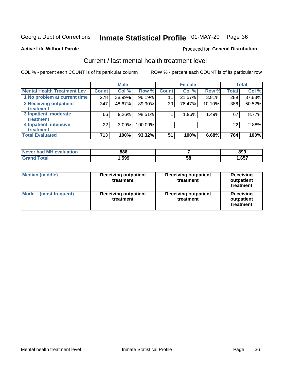# Inmate Statistical Profile 01-MAY-20 Page 36

### **Active Life Without Parole**

## **Produced for General Distribution**

## Current / last mental health treatment level

COL % - percent each COUNT is of its particular column

|                                    |              | <b>Male</b> |         |              | <b>Female</b> |        |              | <b>Total</b> |
|------------------------------------|--------------|-------------|---------|--------------|---------------|--------|--------------|--------------|
| <b>Mental Health Treatment Lev</b> | <b>Count</b> | Col %       | Row %   | <b>Count</b> | Col %         | Row %  | <b>Total</b> | Col %        |
| 1 No problem at current time       | 278          | 38.99%      | 96.19%  | 11           | 21.57%        | 3.81%  | 289          | 37.83%       |
| 2 Receiving outpatient             | 347          | 48.67%      | 89.90%  | 39           | 76.47%        | 10.10% | 386          | 50.52%       |
| <b>Treatment</b>                   |              |             |         |              |               |        |              |              |
| 3 Inpatient, moderate              | 66           | 9.26%       | 98.51%  |              | 1.96%         | 1.49%  | 67           | 8.77%        |
| <b>Treatment</b>                   |              |             |         |              |               |        |              |              |
| 4 Inpatient, intensive             | 22           | 3.09%       | 100.00% |              |               |        | 22           | 2.88%        |
| Treatment                          |              |             |         |              |               |        |              |              |
| <b>Total Evaluated</b>             | 713          | 100%        | 93.32%  | 51           | 100%          | 6.68%  | 764          | 100%         |

| Never had MH evaluation | 886    |    | 893  |
|-------------------------|--------|----|------|
| <b>Total</b>            | .599.، | 58 | ,657 |

| <b>Median (middle)</b>         | <b>Receiving outpatient</b><br>treatment | <b>Receiving outpatient</b><br>treatment | <b>Receiving</b><br>outpatient<br>treatment |  |
|--------------------------------|------------------------------------------|------------------------------------------|---------------------------------------------|--|
| <b>Mode</b><br>(most frequent) | <b>Receiving outpatient</b><br>treatment | <b>Receiving outpatient</b><br>treatment | <b>Receiving</b><br>outpatient<br>treatment |  |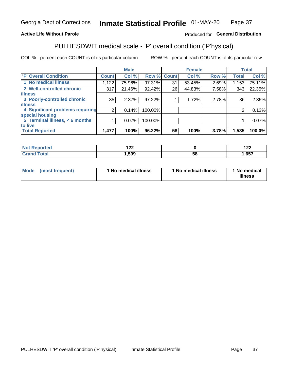#### Inmate Statistical Profile 01-MAY-20 Page 37

## **Active Life Without Parole**

## Produced for General Distribution

## PULHESDWIT medical scale - 'P' overall condition ('P'hysical)

COL % - percent each COUNT is of its particular column

|                                  |                | <b>Male</b> |             |    | <b>Female</b> |       |              | <b>Total</b> |
|----------------------------------|----------------|-------------|-------------|----|---------------|-------|--------------|--------------|
| 'P' Overall Condition            | <b>Count</b>   | Col %       | Row % Count |    | Col %         | Row % | <b>Total</b> | Col %        |
| 1 No medical illness             | 1,122          | 75.96%      | 97.31%      | 31 | 53.45%        | 2.69% | 1,153        | 75.11%       |
| 2 Well-controlled chronic        | 317            | 21.46%      | 92.42%      | 26 | 44.83%        | 7.58% | 343          | 22.35%       |
| <b>illness</b>                   |                |             |             |    |               |       |              |              |
| 3 Poorly-controlled chronic      | 35             | $2.37\%$    | 97.22%      |    | 1.72%         | 2.78% | 36           | 2.35%        |
| <b>illness</b>                   |                |             |             |    |               |       |              |              |
| 4 Significant problems requiring | 2 <sub>1</sub> | 0.14%       | 100.00%     |    |               |       | 2            | 0.13%        |
| special housing                  |                |             |             |    |               |       |              |              |
| 5 Terminal illness, < 6 months   |                | 0.07%       | 100.00%     |    |               |       |              | 0.07%        |
| to live                          |                |             |             |    |               |       |              |              |
| <b>Total Reported</b>            | 1,477          | 100%        | 96.22%      | 58 | 100%          | 3.78% | 1,535        | 100.0%       |

| тео   | ៱៱៱<br>14L |    | 0 ^ ^<br>175 |
|-------|------------|----|--------------|
| _____ | 599, ا     | ၁၀ | ,657         |

|  |  | Mode (most frequent) | 1 No medical illness | 1 No medical illness | 1 No medical<br>illness |
|--|--|----------------------|----------------------|----------------------|-------------------------|
|--|--|----------------------|----------------------|----------------------|-------------------------|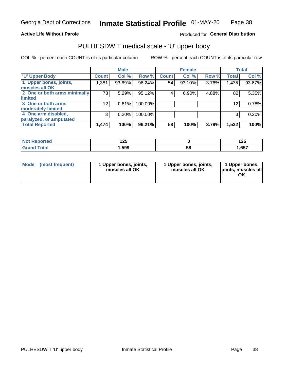## **Active Life Without Parole**

## Produced for General Distribution

# PULHESDWIT medical scale - 'U' upper body

COL % - percent each COUNT is of its particular column

|                              |                 | <b>Male</b> |           |              | <b>Female</b> |       |              | <b>Total</b> |
|------------------------------|-----------------|-------------|-----------|--------------|---------------|-------|--------------|--------------|
| <b>U' Upper Body</b>         | <b>Count</b>    | Col %       | Row %     | <b>Count</b> | Col %         | Row % | <b>Total</b> | Col %        |
| 1 Upper bones, joints,       | 1,381           | 93.69%      | 96.24%    | 54           | 93.10%        | 3.76% | 1,435        | 93.67%       |
| muscles all OK               |                 |             |           |              |               |       |              |              |
| 2 One or both arms minimally | 78              | 5.29%       | $95.12\%$ | 4            | 6.90%         | 4.88% | 82           | 5.35%        |
| <b>limited</b>               |                 |             |           |              |               |       |              |              |
| 3 One or both arms           | 12 <sub>1</sub> | 0.81%       | 100.00%   |              |               |       | 12           | 0.78%        |
| <b>moderately limited</b>    |                 |             |           |              |               |       |              |              |
| 4 One arm disabled,          | 3               | 0.20%       | 100.00%   |              |               |       | 3            | 0.20%        |
| paralyzed, or amputated      |                 |             |           |              |               |       |              |              |
| <b>Total Reported</b>        | 1,474           | 100%        | 96.21%    | 58           | 100%          | 3.79% | 1,532        | 100%         |

| <b>Not Reported</b> | ィクに<br>ื้ |    | 1 7 E<br>12J |
|---------------------|-----------|----|--------------|
| <b>Total</b>        | ,599      | 58 | ,657         |

| Mode | (most frequent) | 1 Upper bones, joints,<br>muscles all OK | 1 Upper bones, joints,<br>muscles all OK | 1 Upper bones,<br>ljoints, muscles all<br>OK |
|------|-----------------|------------------------------------------|------------------------------------------|----------------------------------------------|
|------|-----------------|------------------------------------------|------------------------------------------|----------------------------------------------|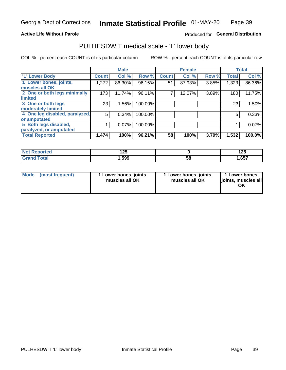## **Active Life Without Parole**

### Produced for General Distribution

## PULHESDWIT medical scale - 'L' lower body

COL % - percent each COUNT is of its particular column

|                                |              | <b>Male</b> |         |              | <b>Female</b> |       |              | <b>Total</b> |
|--------------------------------|--------------|-------------|---------|--------------|---------------|-------|--------------|--------------|
| 'L' Lower Body                 | <b>Count</b> | Col %       | Row %   | <b>Count</b> | Col %         | Row % | <b>Total</b> | Col %        |
| 1 Lower bones, joints,         | 1,272        | 86.30%      | 96.15%  | 51           | 87.93%        | 3.85% | 1,323        | 86.36%       |
| muscles all OK                 |              |             |         |              |               |       |              |              |
| 2 One or both legs minimally   | 173          | 11.74%      | 96.11%  | ⇁            | 12.07%        | 3.89% | 180          | 11.75%       |
| limited                        |              |             |         |              |               |       |              |              |
| 3 One or both legs             | 23           | 1.56%       | 100.00% |              |               |       | 23           | 1.50%        |
| moderately limited             |              |             |         |              |               |       |              |              |
| 4 One leg disabled, paralyzed, | 5            | 0.34%       | 100.00% |              |               |       | 5            | 0.33%        |
| or amputated                   |              |             |         |              |               |       |              |              |
| 5 Both legs disabled,          |              | 0.07%       | 100.00% |              |               |       |              | 0.07%        |
| paralyzed, or amputated        |              |             |         |              |               |       |              |              |
| <b>Total Reported</b>          | 1,474        | 100%        | 96.21%  | 58           | 100%          | 3.79% | 1,532        | 100.0%       |

| <b>Not Reported</b> | 1 つに<br>1 Z.J |    | ィヘビ<br>12J |
|---------------------|---------------|----|------------|
| <b>Grand Total</b>  | 599, ا        | ວັ | .,657      |

| Mode | (most frequent) | 1 Lower bones, joints,<br>muscles all OK | 1 Lower bones, joints,<br>muscles all OK | 1 Lower bones,<br>joints, muscles all<br>ΟK |
|------|-----------------|------------------------------------------|------------------------------------------|---------------------------------------------|
|------|-----------------|------------------------------------------|------------------------------------------|---------------------------------------------|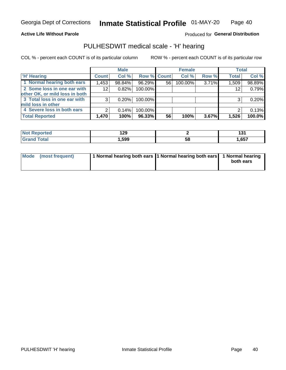### **Active Life Without Parole**

Produced for General Distribution

## PULHESDWIT medical scale - 'H' hearing

COL % - percent each COUNT is of its particular column

|                                |              | <b>Male</b> |             |    | <b>Female</b> |       | <b>Total</b> |        |
|--------------------------------|--------------|-------------|-------------|----|---------------|-------|--------------|--------|
| <b>H' Hearing</b>              | <b>Count</b> | Col %       | Row % Count |    | Col %         | Row % | <b>Total</b> | Col %  |
| 1 Normal hearing both ears     | 1,453        | 98.84%      | 96.29%      | 56 | 100.00%       | 3.71% | 1,509        | 98.89% |
| 2 Some loss in one ear with    | 12           | 0.82%       | 100.00%     |    |               |       | 12           | 0.79%  |
| other OK, or mild loss in both |              |             |             |    |               |       |              |        |
| 3 Total loss in one ear with   | 3            | 0.20%       | 100.00%     |    |               |       | 3            | 0.20%  |
| mild loss in other             |              |             |             |    |               |       |              |        |
| 4 Severe loss in both ears     | 2            | 0.14%       | 100.00%     |    |               |       |              | 0.13%  |
| <b>Total Reported</b>          | 1,470        | 100%        | 96.33%      | 56 | 100%          | 3.67% | 1,526        | 100.0% |

| ported     | 129  |           | ג פ  |
|------------|------|-----------|------|
| <b>NO1</b> | ---  |           | וטו  |
| $\sim$     | ,599 | - 0<br>Эō | ,657 |

|  | Mode (most frequent) | 1 Normal hearing both ears 1 Normal hearing both ears 1 Normal hearing |  | both ears |
|--|----------------------|------------------------------------------------------------------------|--|-----------|
|--|----------------------|------------------------------------------------------------------------|--|-----------|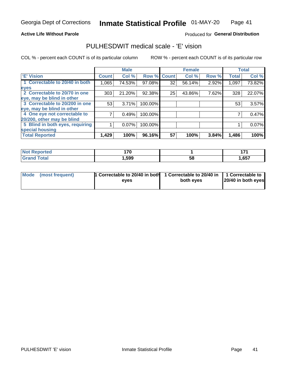### **Active Life Without Parole**

## Produced for General Distribution

## PULHESDWIT medical scale - 'E' vision

COL % - percent each COUNT is of its particular column

|                                 |              | <b>Male</b> |         |              | <b>Female</b> |       |              | <b>Total</b> |
|---------------------------------|--------------|-------------|---------|--------------|---------------|-------|--------------|--------------|
| 'E' Vision                      | <b>Count</b> | Col %       | Row %   | <b>Count</b> | Col %         | Row % | <b>Total</b> | Col %        |
| 1 Correctable to 20/40 in both  | 1,065        | 74.53%      | 97.08%  | 32           | 56.14%        | 2.92% | 1,097        | 73.82%       |
| eyes                            |              |             |         |              |               |       |              |              |
| 2 Correctable to 20/70 in one   | 303          | 21.20%      | 92.38%  | 25           | 43.86%        | 7.62% | 328          | 22.07%       |
| eye, may be blind in other      |              |             |         |              |               |       |              |              |
| 3 Correctable to 20/200 in one  | 53           | 3.71%       | 100.00% |              |               |       | 53           | 3.57%        |
| eye, may be blind in other      |              |             |         |              |               |       |              |              |
| 4 One eye not correctable to    |              | 0.49%       | 100.00% |              |               |       |              | 0.47%        |
| 20/200, other may be blind      |              |             |         |              |               |       |              |              |
| 5 Blind in both eyes, requiring |              | 0.07%       | 100.00% |              |               |       |              | 0.07%        |
| special housing                 |              |             |         |              |               |       |              |              |
| <b>Total Reported</b>           | 1,429        | 100%        | 96.16%  | 57           | 100%          | 3.84% | 1,486        | 100%         |

| <b>Reported</b><br>NOT<br>$\cdots$ | 170<br>. . v |    | .<br>. |
|------------------------------------|--------------|----|--------|
| <b>Total</b><br><b>COMMENT</b>     | ,599         | 58 | 1,657  |

| Mode (most frequent) | 1 Correctable to 20/40 in both<br>eves | 1 Correctable to 20/40 in   1 Correctable to  <br>both eyes | 20/40 in both eyes |  |
|----------------------|----------------------------------------|-------------------------------------------------------------|--------------------|--|
|                      |                                        |                                                             |                    |  |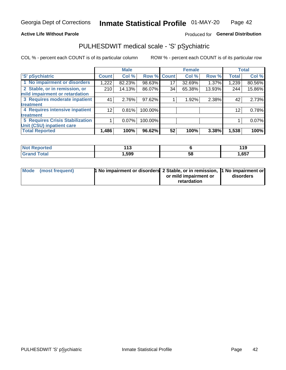### **Active Life Without Parole**

## Produced for General Distribution

## PULHESDWIT medical scale - 'S' pSychiatric

COL % - percent each COUNT is of its particular column

|                                        |              | <b>Male</b> |         |             | <b>Female</b> |        |              | <b>Total</b> |
|----------------------------------------|--------------|-------------|---------|-------------|---------------|--------|--------------|--------------|
| 'S' pSychiatric                        | <b>Count</b> | Col %       |         | Row % Count | Col %         | Row %  | <b>Total</b> | Col %        |
| 1 No impairment or disorders           | 1,222        | 82.23%      | 98.63%  | 17          | 32.69%        | 1.37%  | 1,239        | 80.56%       |
| 2 Stable, or in remission, or          | 210          | 14.13%      | 86.07%  | 34          | 65.38%        | 13.93% | 244          | 15.86%       |
| mild impairment or retardation         |              |             |         |             |               |        |              |              |
| 3 Requires moderate inpatient          | 41           | 2.76%       | 97.62%  |             | 1.92%         | 2.38%  | 42           | 2.73%        |
| treatment                              |              |             |         |             |               |        |              |              |
| 4 Requires intensive inpatient         | 12           | 0.81%       | 100.00% |             |               |        | 12           | 0.78%        |
| <b>treatment</b>                       |              |             |         |             |               |        |              |              |
| <b>5 Requires Crisis Stabilization</b> |              | 0.07%       | 100.00% |             |               |        |              | 0.07%        |
| Unit (CSU) inpatient care              |              |             |         |             |               |        |              |              |
| <b>Total Reported</b>                  | 1,486        | 100%        | 96.62%  | 52          | 100%          | 3.38%  | 1,538        | 100%         |

| <b>Not Reported</b>          | 442<br>. |    | 440<br>. |
|------------------------------|----------|----|----------|
| <b>Total</b><br><b>Srand</b> | ,599     | 58 | 1,657    |

| Mode (most frequent) | <b>1 No impairment or disorders</b> 2 Stable, or in remission, 11 No impairment or |                       |           |
|----------------------|------------------------------------------------------------------------------------|-----------------------|-----------|
|                      |                                                                                    | or mild impairment or | disorders |
|                      |                                                                                    | retardation           |           |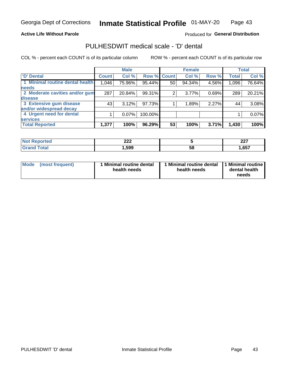### **Active Life Without Parole**

## Produced for General Distribution

## PULHESDWIT medical scale - 'D' dental

COL % - percent each COUNT is of its particular column

|                                 |              | <b>Male</b> |         |              | <b>Female</b> |       |              | <b>Total</b> |
|---------------------------------|--------------|-------------|---------|--------------|---------------|-------|--------------|--------------|
| <b>D'</b> Dental                | <b>Count</b> | Col %       | Row %   | <b>Count</b> | Col %         | Row % | <b>Total</b> | Col %        |
| 1 Minimal routine dental health | 1,046        | 75.96%      | 95.44%  | 50           | 94.34%        | 4.56% | 1,096        | 76.64%       |
| <b>needs</b>                    |              |             |         |              |               |       |              |              |
| 2 Moderate cavities and/or gum  | 287          | 20.84%      | 99.31%  | 2            | 3.77%         | 0.69% | 289          | 20.21%       |
| disease                         |              |             |         |              |               |       |              |              |
| 3 Extensive gum disease         | 43           | 3.12%       | 97.73%  |              | 1.89%         | 2.27% | 44           | 3.08%        |
| and/or widespread decay         |              |             |         |              |               |       |              |              |
| 4 Urgent need for dental        |              | $0.07\%$    | 100.00% |              |               |       |              | 0.07%        |
| <b>services</b>                 |              |             |         |              |               |       |              |              |
| <b>Total Reported</b>           | 1,377        | 100%        | 96.29%  | 53           | 100%          | 3.71% | 1,430        | 100%         |

| prted    | ົາລາ |    | <b>007</b> |
|----------|------|----|------------|
| NOT RADO | LLL  |    | 44 I       |
| $\cdots$ |      |    |            |
| Total    | ,599 | 58 | ,657       |

| <b>Mode</b> | (most frequent) | <b>Minimal routine dental</b><br>health needs | 1 Minimal routine dental   1 Minimal routine  <br>health needs | dental health<br>needs |
|-------------|-----------------|-----------------------------------------------|----------------------------------------------------------------|------------------------|
|-------------|-----------------|-----------------------------------------------|----------------------------------------------------------------|------------------------|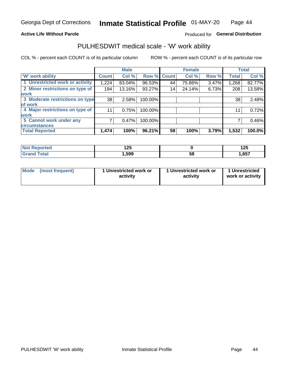### **Active Life Without Parole**

### Produced for General Distribution

## PULHESDWIT medical scale - 'W' work ability

COL % - percent each COUNT is of its particular column

|                                 |                    | <b>Male</b> |         |             | <b>Female</b> |       |              | <b>Total</b> |
|---------------------------------|--------------------|-------------|---------|-------------|---------------|-------|--------------|--------------|
| <b>W' work ability</b>          | Count <sup>'</sup> | Col %       |         | Row % Count | Col %         | Row % | <b>Total</b> | Col %        |
| 1 Unrestricted work or activity | 1,224              | 83.04%      | 96.53%  | 44          | 75.86%        | 3.47% | 1,268        | 82.77%       |
| 2 Minor restrictions on type of | 194                | 13.16%      | 93.27%  | 14          | 24.14%        | 6.73% | 208          | 13.58%       |
| <b>work</b>                     |                    |             |         |             |               |       |              |              |
| 3 Moderate restrictions on type | 38                 | 2.58%       | 100.00% |             |               |       | 38           | 2.48%        |
| lof work                        |                    |             |         |             |               |       |              |              |
| 4 Major restrictions on type of | 11                 | 0.75%       | 100.00% |             |               |       | 11           | 0.72%        |
| <b>work</b>                     |                    |             |         |             |               |       |              |              |
| 5 Cannot work under any         |                    | 0.47%       | 100.00% |             |               |       |              | 0.46%        |
| <b>circumstances</b>            |                    |             |         |             |               |       |              |              |
| <b>Total Reported</b>           | 1,474              | 100%        | 96.21%  | 58          | 100%          | 3.79% | 1,532        | 100.0%       |

| ັກorted      | 1つに<br>14J |   | 12E<br>14J |
|--------------|------------|---|------------|
| <b>Total</b> | 599, ا     | ວ | 1,657      |

| Mode            | 1 Unrestricted work or | 1 Unrestricted work or | 1 Unrestricted   |
|-----------------|------------------------|------------------------|------------------|
| (most frequent) | activity               | activity               | work or activity |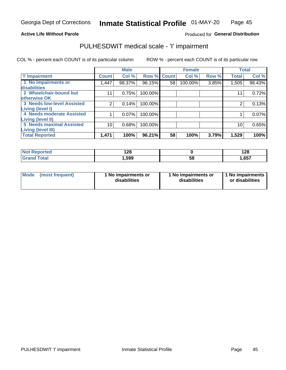## **Active Life Without Parole**

Produced for General Distribution

## PULHESDWIT medical scale - 'I' impairment

COL % - percent each COUNT is of its particular column ROW % - percent each COUNT is of its particular row

|                                   |              | <b>Male</b> |             |    | <b>Female</b> |       |              | <b>Total</b> |
|-----------------------------------|--------------|-------------|-------------|----|---------------|-------|--------------|--------------|
| <b>T' Impairment</b>              | <b>Count</b> | Col %       | Row % Count |    | Col %         | Row % | <b>Total</b> | Col %        |
| 1 No impairments or               | .447         | 98.37%      | 96.15%      | 58 | 100.00%       | 3.85% | 1,505        | 98.43%       |
| <b>disabilities</b>               |              |             |             |    |               |       |              |              |
| 2 Wheelchair-bound but            | 11           | 0.75%       | 100.00%     |    |               |       | 11           | 0.72%        |
| otherwise OK                      |              |             |             |    |               |       |              |              |
| <b>3 Needs low-level Assisted</b> | 2            | 0.14%       | 100.00%     |    |               |       | 2            | 0.13%        |
| Living (level I)                  |              |             |             |    |               |       |              |              |
| 4 Needs moderate Assisted         |              | 0.07%       | 100.00%     |    |               |       |              | 0.07%        |
| <b>Living (level II)</b>          |              |             |             |    |               |       |              |              |
| <b>5 Needs maximal Assisted</b>   | 10           | 0.68%       | 100.00%     |    |               |       | 10           | 0.65%        |
| <b>Living (level III)</b>         |              |             |             |    |               |       |              |              |
| <b>Total Reported</b>             | 1,471        | 100%        | 96.21%      | 58 | 100%          | 3.79% | 1,529        | 100%         |

| วrted | റാ<br>140 |    | 128   |
|-------|-----------|----|-------|
| 'ota. | 599,      | 58 | 1,657 |

| Mode | (most frequent) | 1 No impairments or<br>disabilities | 1 No impairments or<br>disabilities | 1 No impairments<br>or disabilities |
|------|-----------------|-------------------------------------|-------------------------------------|-------------------------------------|
|------|-----------------|-------------------------------------|-------------------------------------|-------------------------------------|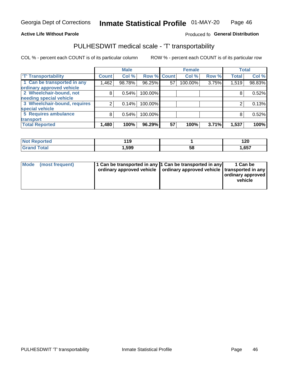### **Active Life Without Parole**

### Produced fo General Distribution

## PULHESDWIT medical scale - 'T' transportability

COL % - percent each COUNT is of its particular column

|                              |              | <b>Male</b> |         |             | <b>Female</b> |       |              | <b>Total</b> |
|------------------------------|--------------|-------------|---------|-------------|---------------|-------|--------------|--------------|
| <b>T' Transportability</b>   | <b>Count</b> | Col %       |         | Row % Count | Col %         | Row % | <b>Total</b> | Col %        |
| 1 Can be transported in any  | 1,462        | 98.78%      | 96.25%  | 57          | 100.00%       | 3.75% | 1,519        | 98.83%       |
| ordinary approved vehicle    |              |             |         |             |               |       |              |              |
| 2 Wheelchair-bound, not      | 8            | 0.54%       | 100.00% |             |               |       |              | 0.52%        |
| needing special vehicle      |              |             |         |             |               |       |              |              |
| 3 Wheelchair-bound, requires |              | 0.14%       | 100.00% |             |               |       |              | 0.13%        |
| special vehicle              |              |             |         |             |               |       |              |              |
| 5 Requires ambulance         | 8            | 0.54%       | 100.00% |             |               |       | 8            | 0.52%        |
| transport                    |              |             |         |             |               |       |              |              |
| <b>Total Reported</b>        | .480         | 100%        | 96.29%  | 57          | 100%          | 3.71% | 1,537        | 100%         |

| orted        | 440<br>. |    | 120   |
|--------------|----------|----|-------|
| <b>cotal</b> | ∣,599    | 58 | 1,657 |

| <b>Mode</b> | (most frequent) | 1 Can be transported in any 1 Can be transported in any | ordinary approved vehicle   ordinary approved vehicle   transported in any | 1 Can be<br>  ordinary approved  <br>vehicle |
|-------------|-----------------|---------------------------------------------------------|----------------------------------------------------------------------------|----------------------------------------------|
|-------------|-----------------|---------------------------------------------------------|----------------------------------------------------------------------------|----------------------------------------------|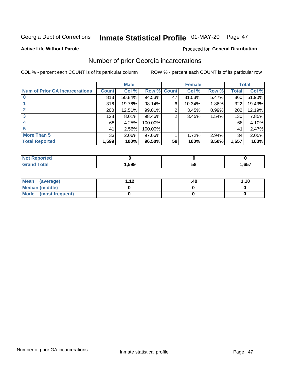# Inmate Statistical Profile 01-MAY-20 Page 47

### **Active Life Without Parole**

### **Produced for General Distribution**

## Number of prior Georgia incarcerations

COL % - percent each COUNT is of its particular column

|                                       |              | <b>Male</b> |                    |    | <b>Female</b> |          |       | <b>Total</b> |
|---------------------------------------|--------------|-------------|--------------------|----|---------------|----------|-------|--------------|
| <b>Num of Prior GA Incarcerations</b> | <b>Count</b> | Col %       | <b>Row % Count</b> |    | Col %         | Row %    | Total | Col %        |
|                                       | 813          | 50.84%      | 94.53%             | 47 | 81.03%        | 5.47%    | 860   | 51.90%       |
|                                       | 316          | 19.76%      | 98.14%             | 6  | 10.34%        | $1.86\%$ | 322   | 19.43%       |
|                                       | 200          | 12.51%      | 99.01%             | 2  | 3.45%         | 0.99%    | 202   | 12.19%       |
| 3                                     | 128          | $8.01\%$    | 98.46%             | 2  | 3.45%         | 1.54%    | 130   | 7.85%        |
|                                       | 68           | 4.25%       | 100.00%            |    |               |          | 68    | 4.10%        |
| 5                                     | 41           | 2.56%       | 100.00%            |    |               |          | 41    | 2.47%        |
| <b>More Than 5</b>                    | 33           | 2.06%       | 97.06%             |    | 1.72%         | 2.94%    | 34    | 2.05%        |
| <b>Total Reported</b>                 | 1,599        | 100%        | 96.50%             | 58 | 100%          | 3.50%    | 1,657 | 100%         |

| <b>orted</b><br><b>NI</b>       |      |    |      |
|---------------------------------|------|----|------|
| <b>otal</b><br>$\mathbf{v}$ and | ,599 | ວເ | ,657 |

| Mean (average)       | 1 1 J | .40 | 1.10 |
|----------------------|-------|-----|------|
| Median (middle)      |       |     |      |
| Mode (most frequent) |       |     |      |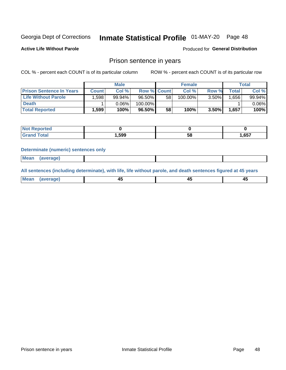## Inmate Statistical Profile 01-MAY-20 Page 48

**Active Life Without Parole** 

Produced for General Distribution

## Prison sentence in years

COL % - percent each COUNT is of its particular column

ROW % - percent each COUNT is of its particular row

|                                 |        | <b>Male</b> |             |    | <b>Female</b> |          |             | Total    |
|---------------------------------|--------|-------------|-------------|----|---------------|----------|-------------|----------|
| <b>Prison Sentence In Years</b> | Count⊺ | Col %       | Row % Count |    | Col %         | Row %    | $\tau$ otal | Col %    |
| <b>Life Without Parole</b>      | ٔ 598. | 99.94%      | $96.50\%$   | 58 | 100.00%       | $3.50\%$ | .656        | 99.94%   |
| <b>Death</b>                    |        | 0.06%       | 100.00%     |    |               |          |             | $0.06\%$ |
| <b>Total Reported</b>           | 1,599  | 100%        | 96.50%      | 58 | 100%          | $3.50\%$ | 1,657       | 100%     |

| eported      |       |    |      |
|--------------|-------|----|------|
| <b>cotal</b> | 1,599 | วด | ,657 |

### **Determinate (numeric) sentences only**

| ' Mea<br><b>Service</b> A<br>ЯМА. |  |  |  |
|-----------------------------------|--|--|--|
|                                   |  |  |  |

All sentences (including determinate), with life, life without parole, and death sentences figured at 45 years

| Me:<br>апе<br>᠇<br> | $\sim$<br>$\sim$ |  |
|---------------------|------------------|--|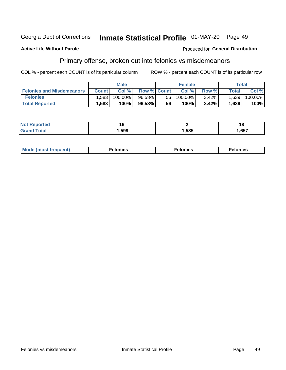#### Georgia Dept of Corrections Inmate Statistical Profile 01-MAY-20 Page 49

### **Active Life Without Parole**

### **Produced for General Distribution**

## Primary offense, broken out into felonies vs misdemeanors

COL % - percent each COUNT is of its particular column

|                                  |              | <b>Male</b> |                    |    | <b>Female</b> |          |                    | Total   |
|----------------------------------|--------------|-------------|--------------------|----|---------------|----------|--------------------|---------|
| <b>Felonies and Misdemeanors</b> | <b>Count</b> | Col%        | <b>Row % Count</b> |    | Col%          | Row %    | Total <sub>1</sub> | Col %   |
| <b>Felonies</b>                  | .583         | 100.00%     | 96.58%             | 56 | 100.00%       | $3.42\%$ | 1.639              | 100.00% |
| <b>Total Reported</b>            | .583         | 100%        | 96.58%             | 56 | $100\%$       | 3.42%    | 1,639              | 100%    |

| <b>Not Reported</b>   |       |      | 18   |
|-----------------------|-------|------|------|
| `otal<br><b>Grand</b> | Ⅰ,599 | ,585 | ,657 |

| <b>Mode</b><br>frequent)<br>nies<br>≧ (most tr.<br>. | onies<br>. | lonies<br>енл<br>____ |
|------------------------------------------------------|------------|-----------------------|
|------------------------------------------------------|------------|-----------------------|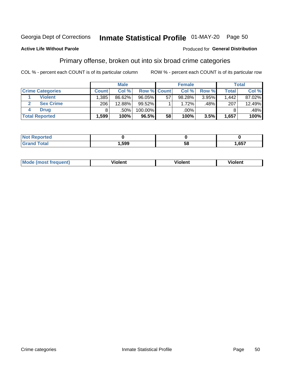#### Inmate Statistical Profile 01-MAY-20 Page 50 Georgia Dept of Corrections

### **Active Life Without Parole**

### Produced for General Distribution

## Primary offense, broken out into six broad crime categories

COL % - percent each COUNT is of its particular column

|                         |              | <b>Male</b> |           |                    | <b>Female</b> |       |              | Total  |
|-------------------------|--------------|-------------|-----------|--------------------|---------------|-------|--------------|--------|
| <b>Crime Categories</b> | <b>Count</b> | Col%        |           | <b>Row % Count</b> | Col %         | Row % | <b>Total</b> | Col %  |
| <b>Violent</b>          | .385         | 86.62%      | 96.05%    | 57                 | 98.28%        | 3.95% | 1,442        | 87.02% |
| <b>Sex Crime</b>        | 206          | 12.88%      | $99.52\%$ |                    | 1.72%         | .48%  | 207          | 12.49% |
| <b>Drug</b>             |              | .50%        | 100.00%   |                    | .00%          |       |              | .48%   |
| <b>Total Reported</b>   | 1,599        | 100%        | 96.5%     | 58                 | 100%          | 3.5%  | 1,657        | 100%   |

| --          |      |           |            |  |
|-------------|------|-----------|------------|--|
| -<br>______ | .599 | --<br>ີວເ | <b>CET</b> |  |

| Mo<br>quenti | .<br>iolent<br>ΊΙ. | --<br>olent | .<br>'ent |
|--------------|--------------------|-------------|-----------|
|              |                    |             |           |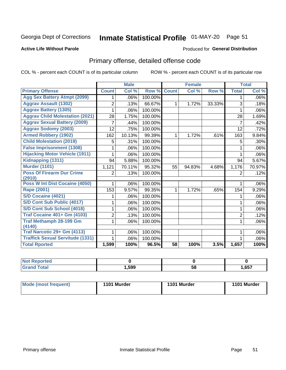# Inmate Statistical Profile 01-MAY-20 Page 51

## **Active Life Without Parole**

### **Produced for General Distribution**

## Primary offense, detailed offense code

COL % - percent each COUNT is of its particular column

|                                            |                | <b>Male</b>               |         |                 | <b>Female</b> |        |                | <b>Total</b> |
|--------------------------------------------|----------------|---------------------------|---------|-----------------|---------------|--------|----------------|--------------|
| <b>Primary Offense</b>                     | <b>Count</b>   | $\overline{\text{Col}}$ % | Row %   | <b>Count</b>    | Col %         | Row %  | <b>Total</b>   | Col %        |
| <b>Agg Sex Battery Atmpt (2099)</b>        | 1.             | .06%                      | 100.00% |                 |               |        | 1              | $.06\%$      |
| <b>Aggrav Assault (1302)</b>               | 2              | .13%                      | 66.67%  | 1               | 1.72%         | 33.33% | 3              | .18%         |
| <b>Aggrav Battery (1305)</b>               |                | .06%                      | 100.00% |                 |               |        | 1              | $.06\%$      |
| <b>Aggrav Child Molestation (2021)</b>     | 28             | 1.75%                     | 100.00% |                 |               |        | 28             | 1.69%        |
| <b>Aggrav Sexual Battery (2009)</b>        | 7              | .44%                      | 100.00% |                 |               |        | $\overline{7}$ | .42%         |
| <b>Aggrav Sodomy (2003)</b>                | 12             | .75%                      | 100.00% |                 |               |        | 12             | .72%         |
| <b>Armed Robbery (1902)</b>                | 162            | 10.13%                    | 99.39%  | 1.              | 1.72%         | .61%   | 163            | 9.84%        |
| <b>Child Molestation (2019)</b>            | 5              | .31%                      | 100.00% |                 |               |        | 5              | $.30\%$      |
| <b>False Imprisonment (1308)</b>           |                | .06%                      | 100.00% |                 |               |        | 1              | .06%         |
| <b>Hijacking Motor Vehicle (1911)</b>      | 1              | .06%                      | 100.00% |                 |               |        | 1              | $.06\%$      |
| Kidnapping (1311)                          | 94             | 5.88%                     | 100.00% |                 |               |        | 94             | 5.67%        |
| <b>Murder (1101)</b>                       | 1,121          | 70.11%                    | 95.32%  | 55              | 94.83%        | 4.68%  | 1,176          | 70.97%       |
| <b>Poss Of Firearm Dur Crime</b><br>(2910) | 2              | .13%                      | 100.00% |                 |               |        | 2              | .12%         |
| Poss W Int Dist Cocaine (4050)             | 1              | .06%                      | 100.00% |                 |               |        | 1              | $.06\%$      |
| <b>Rape (2001)</b>                         | 153            | 9.57%                     | 99.35%  | $\mathbf 1$     | 1.72%         | .65%   | 154            | 9.29%        |
| S/D Cocaine (4021)                         |                | .06%                      | 100.00% |                 |               |        |                | $.06\%$      |
| S/D Cont Sub Public (4017)                 | 1              | .06%                      | 100.00% |                 |               |        | 1              | $.06\%$      |
| S/D Cont Sub School (4018)                 | 1              | .06%                      | 100.00% |                 |               |        | 1              | $.06\%$      |
| <b>Traf Cocaine 401+ Gm (4103)</b>         | $\overline{2}$ | .13%                      | 100.00% |                 |               |        | $\overline{2}$ | .12%         |
| Traf Methamph 28-199 Gm<br>(4140)          | 1              | .06%                      | 100.00% |                 |               |        | 1              | $.06\%$      |
| Traf Narcotic 29+ Gm (4113)                |                | .06%                      | 100.00% |                 |               |        |                | $.06\%$      |
| <b>Traffick Sexual Servitude (1331)</b>    |                | .06%                      | 100.00% |                 |               |        |                | .06%         |
| <b>Total Rported</b>                       | 1,599          | 100%                      | 96.5%   | $\overline{58}$ | 100%          | 3.5%   | 1,657          | 100%         |

| Reported<br><b>Not</b>   |      |    |       |
|--------------------------|------|----|-------|
| Total<br>C <sub>uc</sub> | ,599 | 58 | 1,657 |

| Mode (most frequent) | 1101 Murder | 1101 Murder | 1101 Murder |
|----------------------|-------------|-------------|-------------|
|----------------------|-------------|-------------|-------------|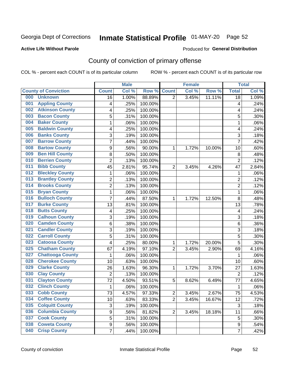# Inmate Statistical Profile 01-MAY-20 Page 52

### **Active Life Without Parole**

### Produced for General Distribution

## County of conviction of primary offense

COL % - percent each COUNT is of its particular column

|                               |                         |                | <b>Male</b> |         |                | <b>Female</b> |        |                | <b>Total</b> |
|-------------------------------|-------------------------|----------------|-------------|---------|----------------|---------------|--------|----------------|--------------|
| <b>County of Conviction</b>   |                         | <b>Count</b>   | Col%        | Row %   | <b>Count</b>   | Col %         | Row %  | <b>Total</b>   | Col %        |
| 000<br><b>Unknown</b>         |                         | 16             | 1.00%       | 88.89%  | $\overline{2}$ | 3.45%         | 11.11% | 18             | 1.09%        |
| <b>Appling County</b><br>001  |                         | 4              | .25%        | 100.00% |                |               |        | 4              | .24%         |
| 002                           | <b>Atkinson County</b>  | 4              | .25%        | 100.00% |                |               |        | 4              | .24%         |
| <b>Bacon County</b><br>003    |                         | 5              | .31%        | 100.00% |                |               |        | 5              | .30%         |
| <b>Baker County</b><br>004    |                         | $\mathbf{1}$   | .06%        | 100.00% |                |               |        | $\mathbf{1}$   | .06%         |
| <b>Baldwin County</b><br>005  |                         | 4              | .25%        | 100.00% |                |               |        | 4              | .24%         |
| <b>Banks County</b><br>006    |                         | 3              | .19%        | 100.00% |                |               |        | 3              | .18%         |
| <b>Barrow County</b><br>007   |                         | $\overline{7}$ | .44%        | 100.00% |                |               |        | $\overline{7}$ | .42%         |
| <b>Bartow County</b><br>008   |                         | 9              | .56%        | 90.00%  | 1              | 1.72%         | 10.00% | 10             | .60%         |
| <b>Ben Hill County</b><br>009 |                         | 8              | .50%        | 100.00% |                |               |        | 8              | .48%         |
| <b>Berrien County</b><br>010  |                         | $\overline{2}$ | .13%        | 100.00% |                |               |        | $\overline{2}$ | .12%         |
| <b>Bibb County</b><br>011     |                         | 45             | 2.81%       | 95.74%  | $\overline{2}$ | 3.45%         | 4.26%  | 47             | 2.84%        |
| <b>Bleckley County</b><br>012 |                         | $\mathbf{1}$   | .06%        | 100.00% |                |               |        | $\mathbf{1}$   | .06%         |
| <b>Brantley County</b><br>013 |                         | $\overline{2}$ | .13%        | 100.00% |                |               |        | $\overline{2}$ | .12%         |
| <b>Brooks County</b><br>014   |                         | $\overline{2}$ | .13%        | 100.00% |                |               |        | $\overline{2}$ | .12%         |
| <b>Bryan County</b><br>015    |                         | $\mathbf{1}$   | .06%        | 100.00% |                |               |        | $\mathbf{1}$   | .06%         |
| <b>Bulloch County</b><br>016  |                         | 7              | .44%        | 87.50%  | 1              | 1.72%         | 12.50% | 8              | .48%         |
| <b>Burke County</b><br>017    |                         | 13             | .81%        | 100.00% |                |               |        | 13             | .78%         |
| <b>Butts County</b><br>018    |                         | 4              | .25%        | 100.00% |                |               |        | 4              | .24%         |
| <b>Calhoun County</b><br>019  |                         | 3              | .19%        | 100.00% |                |               |        | $\overline{3}$ | .18%         |
| <b>Camden County</b><br>020   |                         | 6              | .38%        | 100.00% |                |               |        | 6              | .36%         |
| <b>Candler County</b><br>021  |                         | 3              | .19%        | 100.00% |                |               |        | 3              | .18%         |
| <b>Carroll County</b><br>022  |                         | 5              | .31%        | 100.00% |                |               |        | 5              | .30%         |
| <b>Catoosa County</b><br>023  |                         | 4              | .25%        | 80.00%  | 1              | 1.72%         | 20.00% | 5              | .30%         |
| 025                           | <b>Chatham County</b>   | 67             | 4.19%       | 97.10%  | $\overline{2}$ | 3.45%         | 2.90%  | 69             | 4.16%        |
| 027                           | <b>Chattooga County</b> | $\mathbf{1}$   | .06%        | 100.00% |                |               |        | 1              | .06%         |
| 028                           | <b>Cherokee County</b>  | 10             | .63%        | 100.00% |                |               |        | 10             | .60%         |
| <b>Clarke County</b><br>029   |                         | 26             | 1.63%       | 96.30%  | 1              | 1.72%         | 3.70%  | 27             | 1.63%        |
| <b>Clay County</b><br>030     |                         | $\overline{2}$ | .13%        | 100.00% |                |               |        | $\overline{2}$ | .12%         |
| <b>Clayton County</b><br>031  |                         | 72             | 4.50%       | 93.51%  | 5              | 8.62%         | 6.49%  | 77             | 4.65%        |
| <b>Clinch County</b><br>032   |                         | $\mathbf{1}$   | .06%        | 100.00% |                |               |        | 1              | .06%         |
| 033<br><b>Cobb County</b>     |                         | 73             | 4.57%       | 97.33%  | 2              | 3.45%         | 2.67%  | 75             | 4.53%        |
| <b>Coffee County</b><br>034   |                         | 10             | .63%        | 83.33%  | $\overline{2}$ | 3.45%         | 16.67% | 12             | .72%         |
| <b>Colquitt County</b><br>035 |                         | 3              | .19%        | 100.00% |                |               |        | 3              | .18%         |
| 036                           | <b>Columbia County</b>  | 9              | .56%        | 81.82%  | $\overline{2}$ | 3.45%         | 18.18% | 11             | .66%         |
| <b>Cook County</b><br>037     |                         | 5              | .31%        | 100.00% |                |               |        | 5              | .30%         |
| <b>Coweta County</b><br>038   |                         | 9              | .56%        | 100.00% |                |               |        | 9              | .54%         |
| <b>Crisp County</b><br>040    |                         | $\overline{7}$ | .44%        | 100.00% |                |               |        | $\overline{7}$ | .42%         |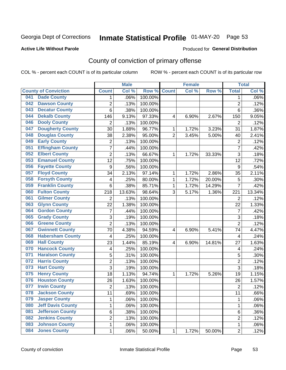# Inmate Statistical Profile 01-MAY-20 Page 53

### **Active Life Without Parole**

### Produced for General Distribution

## County of conviction of primary offense

COL % - percent each COUNT is of its particular column

|     |                             |                  | <b>Male</b> |         |                | <b>Female</b> |        |                | <b>Total</b> |
|-----|-----------------------------|------------------|-------------|---------|----------------|---------------|--------|----------------|--------------|
|     | <b>County of Conviction</b> | <b>Count</b>     | Col %       | Row %   | <b>Count</b>   | Col %         | Row %  | <b>Total</b>   | Col %        |
| 041 | <b>Dade County</b>          | 1                | .06%        | 100.00% |                |               |        | 1              | .06%         |
| 042 | <b>Dawson County</b>        | $\overline{2}$   | .13%        | 100.00% |                |               |        | $\overline{2}$ | .12%         |
| 043 | <b>Decatur County</b>       | 6                | .38%        | 100.00% |                |               |        | 6              | .36%         |
| 044 | <b>Dekalb County</b>        | 146              | 9.13%       | 97.33%  | 4              | 6.90%         | 2.67%  | 150            | 9.05%        |
| 046 | <b>Dooly County</b>         | $\overline{2}$   | .13%        | 100.00% |                |               |        | $\overline{2}$ | .12%         |
| 047 | <b>Dougherty County</b>     | 30               | 1.88%       | 96.77%  | 1              | 1.72%         | 3.23%  | 31             | 1.87%        |
| 048 | <b>Douglas County</b>       | 38               | 2.38%       | 95.00%  | $\overline{2}$ | 3.45%         | 5.00%  | 40             | 2.41%        |
| 049 | <b>Early County</b>         | $\mathbf 2$      | .13%        | 100.00% |                |               |        | $\overline{2}$ | .12%         |
| 051 | <b>Effingham County</b>     | 7                | .44%        | 100.00% |                |               |        | $\overline{7}$ | .42%         |
| 052 | <b>Elbert County</b>        | $\overline{2}$   | .13%        | 66.67%  | 1              | 1.72%         | 33.33% | 3              | .18%         |
| 053 | <b>Emanuel County</b>       | 12               | .75%        | 100.00% |                |               |        | 12             | .72%         |
| 056 | <b>Fayette County</b>       | $\boldsymbol{9}$ | .56%        | 100.00% |                |               |        | 9              | .54%         |
| 057 | <b>Floyd County</b>         | 34               | 2.13%       | 97.14%  | $\mathbf{1}$   | 1.72%         | 2.86%  | 35             | 2.11%        |
| 058 | <b>Forsyth County</b>       | 4                | .25%        | 80.00%  | 1              | 1.72%         | 20.00% | 5              | .30%         |
| 059 | <b>Franklin County</b>      | 6                | .38%        | 85.71%  | 1              | 1.72%         | 14.29% | $\overline{7}$ | .42%         |
| 060 | <b>Fulton County</b>        | 218              | 13.63%      | 98.64%  | 3              | 5.17%         | 1.36%  | 221            | 13.34%       |
| 061 | <b>Gilmer County</b>        | $\overline{2}$   | .13%        | 100.00% |                |               |        | $\overline{2}$ | .12%         |
| 063 | <b>Glynn County</b>         | 22               | 1.38%       | 100.00% |                |               |        | 22             | 1.33%        |
| 064 | <b>Gordon County</b>        | 7                | .44%        | 100.00% |                |               |        | $\overline{7}$ | .42%         |
| 065 | <b>Grady County</b>         | 3                | .19%        | 100.00% |                |               |        | 3              | .18%         |
| 066 | <b>Greene County</b>        | $\overline{2}$   | .13%        | 100.00% |                |               |        | $\overline{2}$ | .12%         |
| 067 | <b>Gwinnett County</b>      | 70               | 4.38%       | 94.59%  | 4              | 6.90%         | 5.41%  | 74             | 4.47%        |
| 068 | <b>Habersham County</b>     | $\overline{4}$   | .25%        | 100.00% |                |               |        | 4              | .24%         |
| 069 | <b>Hall County</b>          | 23               | 1.44%       | 85.19%  | 4              | 6.90%         | 14.81% | 27             | 1.63%        |
| 070 | <b>Hancock County</b>       | 4                | .25%        | 100.00% |                |               |        | 4              | .24%         |
| 071 | <b>Haralson County</b>      | 5                | .31%        | 100.00% |                |               |        | 5              | .30%         |
| 072 | <b>Harris County</b>        | $\overline{2}$   | .13%        | 100.00% |                |               |        | $\overline{2}$ | .12%         |
| 073 | <b>Hart County</b>          | 3                | .19%        | 100.00% |                |               |        | $\overline{3}$ | .18%         |
| 075 | <b>Henry County</b>         | 18               | 1.13%       | 94.74%  | $\mathbf{1}$   | 1.72%         | 5.26%  | 19             | 1.15%        |
| 076 | <b>Houston County</b>       | 26               | 1.63%       | 100.00% |                |               |        | 26             | 1.57%        |
| 077 | <b>Irwin County</b>         | $\overline{2}$   | .13%        | 100.00% |                |               |        | $\overline{2}$ | .12%         |
| 078 | <b>Jackson County</b>       | 11               | .69%        | 100.00% |                |               |        | 11             | .66%         |
| 079 | <b>Jasper County</b>        | $\mathbf{1}$     | .06%        | 100.00% |                |               |        | $\mathbf{1}$   | .06%         |
| 080 | <b>Jeff Davis County</b>    | 1                | .06%        | 100.00% |                |               |        | $\mathbf{1}$   | .06%         |
| 081 | <b>Jefferson County</b>     | 6                | .38%        | 100.00% |                |               |        | 6              | .36%         |
| 082 | <b>Jenkins County</b>       | $\overline{2}$   | .13%        | 100.00% |                |               |        | $\overline{2}$ | .12%         |
| 083 | <b>Johnson County</b>       | $\mathbf 1$      | .06%        | 100.00% |                |               |        | $\mathbf 1$    | .06%         |
| 084 | <b>Jones County</b>         | $\mathbf 1$      | .06%        | 50.00%  | 1              | 1.72%         | 50.00% | $\overline{2}$ | .12%         |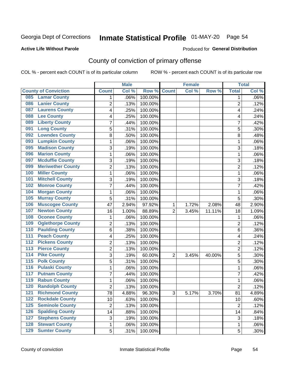# Inmate Statistical Profile 01-MAY-20 Page 54

### **Active Life Without Parole**

## **Produced for General Distribution**

## County of conviction of primary offense

COL % - percent each COUNT is of its particular column

|                                        |                | <b>Male</b> |         |                | <b>Female</b> |          |                | <b>Total</b> |
|----------------------------------------|----------------|-------------|---------|----------------|---------------|----------|----------------|--------------|
| <b>County of Conviction</b>            | <b>Count</b>   | Col %       | Row %   | <b>Count</b>   | Col %         | Row %    | <b>Total</b>   | Col %        |
| <b>Lamar County</b><br>085             | 1              | .06%        | 100.00% |                |               |          | 1              | $.06\%$      |
| <b>Lanier County</b><br>086            | $\overline{2}$ | .13%        | 100.00% |                |               |          | $\overline{2}$ | .12%         |
| <b>Laurens County</b><br>087           | 4              | .25%        | 100.00% |                |               |          | 4              | .24%         |
| <b>Lee County</b><br>088               | 4              | .25%        | 100.00% |                |               |          | 4              | .24%         |
| <b>Liberty County</b><br>089           | 7              | .44%        | 100.00% |                |               |          | 7              | .42%         |
| <b>Long County</b><br>091              | 5              | .31%        | 100.00% |                |               |          | 5              | .30%         |
| <b>Lowndes County</b><br>092           | 8              | .50%        | 100.00% |                |               |          | 8              | .48%         |
| <b>Lumpkin County</b><br>093           | 1              | .06%        | 100.00% |                |               |          | $\mathbf{1}$   | .06%         |
| <b>Madison County</b><br>095           | 3              | .19%        | 100.00% |                |               |          | 3              | .18%         |
| <b>Marion County</b><br>096            | 1              | .06%        | 100.00% |                |               |          | $\mathbf{1}$   | .06%         |
| <b>Mcduffie County</b><br>097          | 3              | .19%        | 100.00% |                |               |          | 3              | .18%         |
| <b>Meriwether County</b><br>099        | $\overline{2}$ | .13%        | 100.00% |                |               |          | $\overline{2}$ | .12%         |
| <b>Miller County</b><br>100            | 1              | .06%        | 100.00% |                |               |          | $\mathbf{1}$   | .06%         |
| <b>Mitchell County</b><br>101          | 3              | .19%        | 100.00% |                |               |          | 3              | .18%         |
| <b>Monroe County</b><br>102            | 7              | .44%        | 100.00% |                |               |          | $\overline{7}$ | .42%         |
| <b>Morgan County</b><br>104            | 1              | .06%        | 100.00% |                |               |          | $\mathbf{1}$   | .06%         |
| <b>Murray County</b><br>105            | 5              | .31%        | 100.00% |                |               |          | 5              | .30%         |
| <b>Muscogee County</b><br>106          | 47             | 2.94%       | 97.92%  | 1              | 1.72%         | 2.08%    | 48             | 2.90%        |
| <b>Newton County</b><br>107            | 16             | 1.00%       | 88.89%  | $\overline{2}$ | 3.45%         | 11.11%   | 18             | 1.09%        |
| <b>Oconee County</b><br>108            | 1              | .06%        | 100.00% |                |               |          | 1              | .06%         |
| <b>Oglethorpe County</b><br>109        | 2              | .13%        | 100.00% |                |               |          | $\overline{2}$ | .12%         |
| <b>Paulding County</b><br>110          | 6              | .38%        | 100.00% |                |               |          | 6              | .36%         |
| <b>Peach County</b><br>111             | 4              | .25%        | 100.00% |                |               |          | 4              | .24%         |
| <b>Pickens County</b><br>112           | $\overline{2}$ | .13%        | 100.00% |                |               |          | $\overline{2}$ | .12%         |
| <b>Pierce County</b><br>113            | 2              | .13%        | 100.00% |                |               |          | $\overline{2}$ | .12%         |
| <b>Pike County</b><br>$\overline{114}$ | 3              | .19%        | 60.00%  | $\overline{2}$ | 3.45%         | 40.00%   | 5              | .30%         |
| <b>Polk County</b><br>115              | 5              | .31%        | 100.00% |                |               |          | 5              | .30%         |
| <b>Pulaski County</b><br>116           | 1              | .06%        | 100.00% |                |               |          | 1              | .06%         |
| <b>Putnam County</b><br>117            | 7              | .44%        | 100.00% |                |               |          | 7              | .42%         |
| <b>Rabun County</b><br>119             | 1              | .06%        | 100.00% |                |               |          | $\mathbf{1}$   | .06%         |
| <b>Randolph County</b><br>120          | $\overline{2}$ | .13%        | 100.00% |                |               |          | $\overline{2}$ | .12%         |
| <b>Richmond County</b><br>121          | 78             | 4.88%       | 96.30%  | 3              | 5.17%         | $3.70\%$ | 81             | 4.89%        |
| <b>Rockdale County</b><br>122          | 10             | .63%        | 100.00% |                |               |          | 10             | .60%         |
| <b>Seminole County</b><br>$125$        | $\overline{2}$ | .13%        | 100.00% |                |               |          | $\overline{2}$ | .12%         |
| <b>Spalding County</b><br>126          | 14             | .88%        | 100.00% |                |               |          | 14             | .84%         |
| <b>Stephens County</b><br>127          | 3              | .19%        | 100.00% |                |               |          | 3              | .18%         |
| <b>Stewart County</b><br>128           | 1              | .06%        | 100.00% |                |               |          | 1              | .06%         |
| <b>Sumter County</b><br>129            | 5              | .31%        | 100.00% |                |               |          | 5              | .30%         |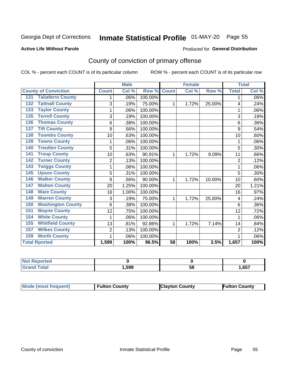# Inmate Statistical Profile 01-MAY-20 Page 55

### **Active Life Without Parole**

### Produced for General Distribution

## County of conviction of primary offense

COL % - percent each COUNT is of its particular column

|                                 |                | <b>Male</b> |         |                 | <b>Female</b> |        |                | <b>Total</b> |
|---------------------------------|----------------|-------------|---------|-----------------|---------------|--------|----------------|--------------|
| <b>County of Conviction</b>     | <b>Count</b>   | Col %       | Row %   | <b>Count</b>    | Col %         | Row %  | <b>Total</b>   | Col %        |
| <b>Taliaferro County</b><br>131 | 1              | .06%        | 100.00% |                 |               |        | 1              | .06%         |
| <b>Tattnall County</b><br>132   | 3              | .19%        | 75.00%  | 1               | 1.72%         | 25.00% | 4              | .24%         |
| <b>Taylor County</b><br>133     | 1              | .06%        | 100.00% |                 |               |        | 1              | .06%         |
| <b>Terrell County</b><br>135    | 3              | .19%        | 100.00% |                 |               |        | 3              | .18%         |
| <b>Thomas County</b><br>136     | 6              | .38%        | 100.00% |                 |               |        | 6              | .36%         |
| <b>Tift County</b><br>137       | 9              | .56%        | 100.00% |                 |               |        | 9              | .54%         |
| <b>Toombs County</b><br>138     | 10             | .63%        | 100.00% |                 |               |        | 10             | .60%         |
| <b>Towns County</b><br>139      | 1              | .06%        | 100.00% |                 |               |        | 1              | .06%         |
| <b>Treutlen County</b><br>140   | 5              | .31%        | 100.00% |                 |               |        | 5              | .30%         |
| <b>Troup County</b><br>141      | 10             | .63%        | 90.91%  | 1               | 1.72%         | 9.09%  | 11             | .66%         |
| <b>Turner County</b><br>142     | $\overline{2}$ | .13%        | 100.00% |                 |               |        | $\overline{2}$ | .12%         |
| <b>Twiggs County</b><br>143     | 1              | .06%        | 100.00% |                 |               |        | 1              | .06%         |
| <b>Upson County</b><br>145      | 5              | .31%        | 100.00% |                 |               |        | 5              | .30%         |
| <b>Walker County</b><br>146     | 9              | .56%        | 90.00%  | 1               | 1.72%         | 10.00% | 10             | .60%         |
| <b>Walton County</b><br>147     | 20             | 1.25%       | 100.00% |                 |               |        | 20             | 1.21%        |
| <b>Ware County</b><br>148       | 16             | 1.00%       | 100.00% |                 |               |        | 16             | .97%         |
| <b>Warren County</b><br>149     | 3              | .19%        | 75.00%  | 1               | 1.72%         | 25.00% | 4              | .24%         |
| <b>Washington County</b><br>150 | 6              | .38%        | 100.00% |                 |               |        | 6              | .36%         |
| <b>Wayne County</b><br>151      | 12             | .75%        | 100.00% |                 |               |        | 12             | .72%         |
| <b>White County</b><br>154      | 1              | .06%        | 100.00% |                 |               |        | 1              | .06%         |
| <b>Whitfield County</b><br>155  | 13             | .81%        | 92.86%  | 1               | 1.72%         | 7.14%  | 14             | .84%         |
| <b>Wilkes County</b><br>157     | 2              | .13%        | 100.00% |                 |               |        | $\overline{2}$ | .12%         |
| <b>Worth County</b><br>159      | 1              | .06%        | 100.00% |                 |               |        |                | .06%         |
| <b>Total Rported</b>            | 1,599          | 100%        | 96.5%   | $\overline{58}$ | 100%          | 3.5%   | 1,657          | 100%         |

| τeα |      |    |      |
|-----|------|----|------|
|     | ,599 | 58 | ,657 |

| <b>Mode (most frequent)</b> | <b>Fulton County</b> | <b>Clayton County</b> | <b>Fulton County</b> |
|-----------------------------|----------------------|-----------------------|----------------------|
|-----------------------------|----------------------|-----------------------|----------------------|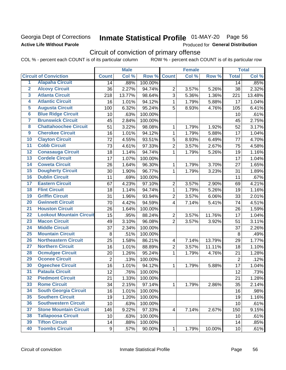## Georgia Dept of Corrections **Active Life Without Parole**

# Inmate Statistical Profile 01-MAY-20 Page 56

Produced for General Distribution

# Circuit of conviction of primary offense

COL % - percent each COUNT is of its particular column ROW % - percent each COUNT is of its particular row

|                         |                                 |                | <b>Male</b> |         |                          | <b>Female</b> |        |                 | <b>Total</b> |
|-------------------------|---------------------------------|----------------|-------------|---------|--------------------------|---------------|--------|-----------------|--------------|
|                         | <b>Circuit of Conviction</b>    | <b>Count</b>   | Col %       | Row %   | <b>Count</b>             | Col %         | Row %  | <b>Total</b>    | Col %        |
| 1                       | <b>Alapaha Circuit</b>          | 14             | .88%        | 100.00% |                          |               |        | 14              | .85%         |
| $\overline{2}$          | <b>Alcovy Circuit</b>           | 36             | 2.27%       | 94.74%  | $\overline{2}$           | 3.57%         | 5.26%  | 38              | 2.32%        |
| $\overline{\mathbf{3}}$ | <b>Atlanta Circuit</b>          | 218            | 13.77%      | 98.64%  | 3                        | 5.36%         | 1.36%  | 221             | 13.48%       |
| 4                       | <b>Atlantic Circuit</b>         | 16             | 1.01%       | 94.12%  | $\mathbf 1$              | 1.79%         | 5.88%  | 17              | 1.04%        |
| 5                       | <b>Augusta Circuit</b>          | 100            | 6.32%       | 95.24%  | 5                        | 8.93%         | 4.76%  | 105             | 6.41%        |
| $\overline{6}$          | <b>Blue Ridge Circuit</b>       | 10             | .63%        | 100.00% |                          |               |        | 10              | .61%         |
| 7                       | <b>Brunswick Circuit</b>        | 45             | 2.84%       | 100.00% |                          |               |        | 45              | 2.75%        |
| 8                       | <b>Chattahoochee Circuit</b>    | 51             | 3.22%       | 98.08%  | 1                        | 1.79%         | 1.92%  | 52              | 3.17%        |
| $\overline{9}$          | <b>Cherokee Circuit</b>         | 16             | 1.01%       | 94.12%  | 1                        | 1.79%         | 5.88%  | 17              | 1.04%        |
| 10                      | <b>Clayton Circuit</b>          | 72             | 4.55%       | 93.51%  | $\sqrt{5}$               | 8.93%         | 6.49%  | 77              | 4.70%        |
| $\overline{11}$         | <b>Cobb Circuit</b>             | 73             | 4.61%       | 97.33%  | $\overline{c}$           | 3.57%         | 2.67%  | 75              | 4.58%        |
| 12                      | <b>Conasauga Circuit</b>        | 18             | 1.14%       | 94.74%  | $\mathbf{1}$             | 1.79%         | 5.26%  | 19              | 1.16%        |
| 13                      | <b>Cordele Circuit</b>          | 17             | 1.07%       | 100.00% |                          |               |        | 17              | 1.04%        |
| $\overline{14}$         | <b>Coweta Circuit</b>           | 26             | 1.64%       | 96.30%  | $\mathbf{1}$             | 1.79%         | 3.70%  | 27              | 1.65%        |
| $\overline{15}$         | <b>Dougherty Circuit</b>        | 30             | 1.90%       | 96.77%  | $\mathbf 1$              | 1.79%         | 3.23%  | 31              | 1.89%        |
| 16                      | <b>Dublin Circuit</b>           | 11             | .69%        | 100.00% |                          |               |        | 11              | .67%         |
| 17                      | <b>Eastern Circuit</b>          | 67             | 4.23%       | 97.10%  | $\overline{2}$           | 3.57%         | 2.90%  | 69              | 4.21%        |
| 18                      | <b>Flint Circuit</b>            | 18             | 1.14%       | 94.74%  | $\mathbf{1}$             | 1.79%         | 5.26%  | 19              | 1.16%        |
| 19                      | <b>Griffin Circuit</b>          | 31             | 1.96%       | 93.94%  | $\overline{2}$           | 3.57%         | 6.06%  | 33              | 2.01%        |
| $\overline{20}$         | <b>Gwinnett Circuit</b>         | 70             | 4.42%       | 94.59%  | 4                        | 7.14%         | 5.41%  | 74              | 4.51%        |
| $\overline{21}$         | <b>Houston Circuit</b>          | 26             | 1.64%       | 100.00% |                          |               |        | 26              | 1.59%        |
| $\overline{22}$         | <b>Lookout Mountain Circuit</b> | 15             | .95%        | 88.24%  | $\overline{2}$           | 3.57%         | 11.76% | 17              | 1.04%        |
| 23                      | <b>Macon Circuit</b>            | 49             | 3.10%       | 96.08%  | $\overline{2}$           | 3.57%         | 3.92%  | 51              | 3.11%        |
| $\overline{24}$         | <b>Middle Circuit</b>           | 37             | 2.34%       | 100.00% |                          |               |        | 37              | 2.26%        |
| $\overline{25}$         | <b>Mountain Circuit</b>         | 8              | .51%        | 100.00% |                          |               |        | 8               | .49%         |
| 26                      | <b>Northeastern Circuit</b>     | 25             | 1.58%       | 86.21%  | $\overline{\mathcal{A}}$ | 7.14%         | 13.79% | 29              | 1.77%        |
| $\overline{27}$         | <b>Northern Circuit</b>         | 16             | 1.01%       | 88.89%  | $\overline{c}$           | 3.57%         | 11.11% | 18              | 1.10%        |
| 28                      | <b>Ocmulgee Circuit</b>         | 20             | 1.26%       | 95.24%  | $\mathbf{1}$             | 1.79%         | 4.76%  | 21              | 1.28%        |
| 29                      | <b>Oconee Circuit</b>           | $\overline{2}$ | .13%        | 100.00% |                          |               |        | $\overline{2}$  | .12%         |
| 30                      | <b>Ogeechee Circuit</b>         | 16             | 1.01%       | 94.12%  | 1                        | 1.79%         | 5.88%  | 17              | 1.04%        |
| $\overline{31}$         | <b>Pataula Circuit</b>          | 12             | .76%        | 100.00% |                          |               |        | 12              | .73%         |
| 32                      | <b>Piedmont Circuit</b>         | 21             | 1.33%       | 100.00% |                          |               |        | 21              | 1.28%        |
| 33                      | <b>Rome Circuit</b>             | 34             | 2.15%       | 97.14%  | $\mathbf{1}$             | 1.79%         | 2.86%  | 35              | 2.14%        |
| 34                      | <b>South Georgia Circuit</b>    | 16             | 1.01%       | 100.00% |                          |               |        | 16              | .98%         |
| 35                      | <b>Southern Circuit</b>         | 19             | 1.20%       | 100.00% |                          |               |        | 19              | 1.16%        |
| 36                      | <b>Southwestern Circuit</b>     | 10             | .63%        | 100.00% |                          |               |        | 10              | .61%         |
| 37                      | <b>Stone Mountain Circuit</b>   | 146            | 9.22%       | 97.33%  | 4                        | 7.14%         | 2.67%  | 150             | 9.15%        |
| 38                      | <b>Tallapoosa Circuit</b>       | 10             | .63%        | 100.00% |                          |               |        | 10              | .61%         |
| 39                      | <b>Tifton Circuit</b>           | 14             | .88%        | 100.00% |                          |               |        | 14              | .85%         |
| 40                      | <b>Toombs Circuit</b>           | 9              | .57%        | 90.00%  | $\mathbf{1}$             | 1.79%         | 10.00% | 10 <sub>1</sub> | .61%         |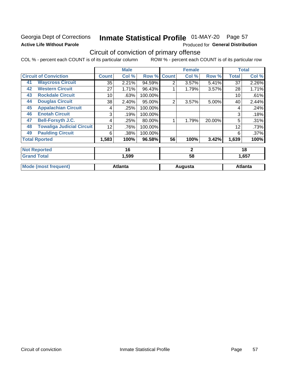## Georgia Dept of Corrections **Active Life Without Parole**

# Inmate Statistical Profile 01-MAY-20 Page 57

Produced for General Distribution

## Circuit of conviction of primary offense

COL % - percent each COUNT is of its particular column ROW % - percent each COUNT is of its particular row

|    |                                  |              | <b>Male</b>    |         |                | <b>Female</b> |        |              | <b>Total</b>   |
|----|----------------------------------|--------------|----------------|---------|----------------|---------------|--------|--------------|----------------|
|    | <b>Circuit of Conviction</b>     | <b>Count</b> | Col %          | Row %   | <b>Count</b>   | Col %         | Row %  | <b>Total</b> | Col %          |
| 41 | <b>Waycross Circuit</b>          | 35           | 2.21%          | 94.59%  | 2              | 3.57%         | 5.41%  | 37           | 2.26%          |
| 42 | <b>Western Circuit</b>           | 27           | 1.71%          | 96.43%  |                | 1.79%         | 3.57%  | 28           | 1.71%          |
| 43 | <b>Rockdale Circuit</b>          | 10           | .63%           | 100.00% |                |               |        | 10           | .61%           |
| 44 | <b>Douglas Circuit</b>           | 38           | 2.40%          | 95.00%  | $\overline{2}$ | 3.57%         | 5.00%  | 40           | 2.44%          |
| 45 | <b>Appalachian Circuit</b>       | 4            | .25%           | 100.00% |                |               |        | 4            | .24%           |
| 46 | <b>Enotah Circuit</b>            | 3            | .19%           | 100.00% |                |               |        | 3            | .18%           |
| 47 | <b>Bell-Forsyth J.C.</b>         | 4            | .25%           | 80.00%  |                | 1.79%         | 20.00% | 5            | .31%           |
| 48 | <b>Towaliga Judicial Circuit</b> | 12           | .76%           | 100.00% |                |               |        | 12           | .73%           |
| 49 | <b>Paulding Circuit</b>          | 6            | .38%           | 100.00% |                |               |        | 6            | .37%           |
|    | <b>Total Rported</b>             | 1,583        | 100%           | 96.58%  | 56             | 100%          | 3.42%  | 1,639        | 100%           |
|    | <b>Not Reported</b>              |              | 16             |         |                | $\mathbf{2}$  |        |              | 18             |
|    | <b>Grand Total</b>               |              | 1,599          |         |                | 58            |        |              | 1,657          |
|    | <b>Mode (most frequent)</b>      |              | <b>Atlanta</b> |         |                | Augusta       |        |              | <b>Atlanta</b> |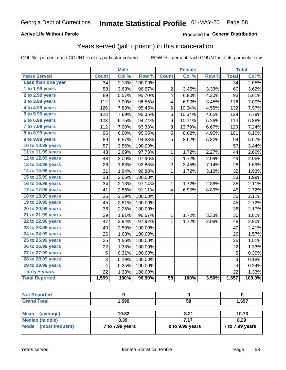## **Active Life Without Parole**

### Produced for General Distribution

## Years served (jail + prison) in this incarceration

COL % - percent each COUNT is of its particular column

|                        |                 | <b>Male</b> |         |                 | <b>Female</b> |       |                 | <b>Total</b> |
|------------------------|-----------------|-------------|---------|-----------------|---------------|-------|-----------------|--------------|
| <b>Years Served</b>    | <b>Count</b>    | Col %       | Row %   | <b>Count</b>    | Col %         | Row % | <b>Total</b>    | Col %        |
| Less than one year     | 34              | 2.13%       | 100.00% |                 |               |       | $\overline{34}$ | 2.05%        |
| 1 to 1.99 years        | 58              | 3.63%       | 96.67%  | $\overline{c}$  | 3.45%         | 3.33% | 60              | 3.62%        |
| 2 to 2.99 years        | 89              | 5.57%       | 95.70%  | 4               | 6.90%         | 4.30% | 93              | 5.61%        |
| 3 to 3.99 years        | 112             | 7.00%       | 96.55%  | 4               | 6.90%         | 3.45% | 116             | 7.00%        |
| 4 to 4.99 years        | 126             | 7.88%       | 95.45%  | 6               | 10.34%        | 4.55% | 132             | 7.97%        |
| 5 to 5.99 years        | 123             | 7.69%       | 95.35%  | 6               | 10.34%        | 4.65% | 129             | 7.79%        |
| 6 to 6.99 years        | 108             | 6.75%       | 94.74%  | 6               | 10.34%        | 5.26% | 114             | 6.88%        |
| 7 to 7.99 years        | 112             | 7.00%       | 93.33%  | 8               | 13.79%        | 6.67% | 120             | 7.24%        |
| <b>8 to 8.99 years</b> | 96              | 6.00%       | 95.05%  | 5               | 8.62%         | 4.95% | 101             | 6.10%        |
| 9 to 9.99 years        | 89              | 5.57%       | 94.68%  | 5               | 8.62%         | 5.32% | 94              | 5.67%        |
| 10 to 10.99 years      | 57              | 3.56%       | 100.00% |                 |               |       | 57              | 3.44%        |
| 11 to 11.99 years      | 43              | 2.69%       | 97.73%  | 1               | 1.72%         | 2.27% | 44              | 2.66%        |
| 12 to 12.99 years      | 48              | 3.00%       | 97.96%  | 1               | 1.72%         | 2.04% | 49              | 2.96%        |
| 13 to 13.99 years      | 26              | 1.63%       | 92.86%  | $\overline{2}$  | 3.45%         | 7.14% | 28              | 1.69%        |
| 14 to 14.99 years      | 31              | 1.94%       | 96.88%  | 1               | 1.72%         | 3.13% | 32              | 1.93%        |
| 15 to 15.99 years      | 33              | 2.06%       | 100.00% |                 |               |       | 33              | 1.99%        |
| 16 to 16.99 years      | 34              | 2.13%       | 97.14%  | 1               | 1.72%         | 2.86% | 35              | 2.11%        |
| 17 to 17.99 years      | 41              | 2.56%       | 91.11%  | 4               | 6.90%         | 8.89% | 45              | 2.72%        |
| 18 to 18.99 years      | 35              | 2.19%       | 100.00% |                 |               |       | 35              | 2.11%        |
| 19 to 19.99 years      | 45              | 2.81%       | 100.00% |                 |               |       | 45              | 2.72%        |
| 20 to 20.99 years      | 36              | 2.25%       | 100.00% |                 |               |       | 36              | 2.17%        |
| 21 to 21.99 years      | 29              | 1.81%       | 96.67%  | 1               | 1.72%         | 3.33% | 30              | 1.81%        |
| 22 to 22.99 years      | 47              | 2.94%       | 97.92%  | 1               | 1.72%         | 2.08% | 48              | 2.90%        |
| 23 to 23.99 years      | 40              | 2.50%       | 100.00% |                 |               |       | 40              | 2.41%        |
| 24 to 24.99 years      | 26              | 1.63%       | 100.00% |                 |               |       | 26              | 1.57%        |
| 25 to 25.99 years      | 25              | 1.56%       | 100.00% |                 |               |       | 25              | 1.51%        |
| 26 to 26.99 years      | 22              | 1.38%       | 100.00% |                 |               |       | 22              | 1.33%        |
| 27 to 27.99 years      | 5               | 0.31%       | 100.00% |                 |               |       | 5               | 0.30%        |
| 28 to 28.99 years      | 3               | 0.19%       | 100.00% |                 |               |       | 3               | 0.18%        |
| 29 to 29.99 years      | 4               | 0.25%       | 100.00% |                 |               |       | 4               | 0.24%        |
| Thirty + years         | $\overline{22}$ | 1.38%       | 100.00% |                 |               |       | $\overline{22}$ | 1.33%        |
| <b>Total Reported</b>  | 1,599           | 100%        | 96.50%  | $\overline{58}$ | 100%          | 3.50% | 1,657           | 100.0%       |

| <b>Not Reported</b>     |                 |                 |                 |
|-------------------------|-----------------|-----------------|-----------------|
| <b>Grand Total</b>      | 1.599           | 58              | 1.657           |
|                         |                 |                 |                 |
| Mean<br>(average)       | 10.82           | 8.21            | 10.73           |
| <b>Median (middle)</b>  | 8.39            | 7.17            | 8.29            |
| Mode<br>(most frequent) | 7 to 7.99 years | 9 to 9.99 years | 7 to 7.99 years |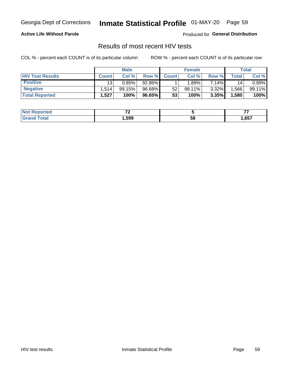# Inmate Statistical Profile 01-MAY-20 Page 59

## **Active Life Without Parole**

Produced for General Distribution

## Results of most recent HIV tests

COL % - percent each COUNT is of its particular column

|                         | <b>Male</b>     |        |        | <b>Female</b> |           |          | Total |        |
|-------------------------|-----------------|--------|--------|---------------|-----------|----------|-------|--------|
| <b>HIV Test Results</b> | <b>Count</b>    | Col %  | Row %I | <b>Count</b>  | Col %     | Row %    | Total | Col %  |
| <b>Positive</b>         | 13 <sub>1</sub> | 0.85%  | 92.86% |               | $1.89\%$  | 7.14%    | 14    | 0.89%  |
| <b>Negative</b>         | .514            | 99.15% | 96.68% | 52            | $98.11\%$ | $3.32\%$ | .566  | 99.11% |
| <b>Total Reported</b>   | .527            | 100%   | 96.65% | 53            | 100%      | 3.35%    | 1,580 | 100%   |

| <b>Not Reported</b>    | --<br>. . |    |      |
|------------------------|-----------|----|------|
| <b>Total</b><br>. Grot | 599, ا    | 58 | ,657 |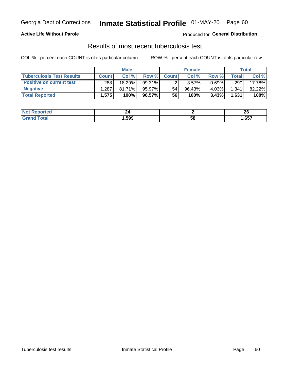## Georgia Dept of Corrections **Inmate Statistical Profile** 01-MAY-20 Page 60

## **Active Life Without Parole**

Produced for **General Distribution**

## Results of most recent tuberculosis test

COL % - percent each COUNT is of its particular column ROW % - percent each COUNT is of its particular row

|                                  |              | <b>Male</b> |           |              | <b>Female</b> |          |       | Total  |
|----------------------------------|--------------|-------------|-----------|--------------|---------------|----------|-------|--------|
| <b>Tuberculosis Test Results</b> | <b>Count</b> | Col%        | Row %     | <b>Count</b> | Col %         | Row %    | Total | Col %  |
| <b>Positive on current test</b>  | 288          | 18.29%      | $99.31\%$ |              | 3.57%         | $0.69\%$ | 290   | 17.78% |
| <b>Negative</b>                  | .287         | $81.71\%$   | 95.97%    | 54           | 96.43%        | 4.03%    | 1,341 | 82.22% |
| <b>Total Reported</b>            | 1,575        | 100%        | 96.57%    | 56           | 100%          | 3.43%    | 1,631 | 100%   |

| <b>Not Reported</b> | 44.    |    | ኅር<br>ZV |
|---------------------|--------|----|----------|
| Total               | 599. ا | 58 | ,657     |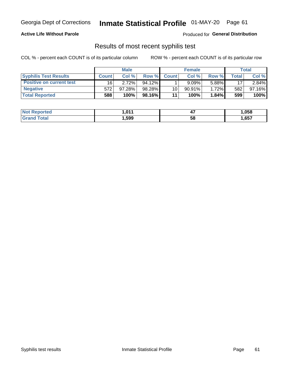## Georgia Dept of Corrections **Inmate Statistical Profile** 01-MAY-20 Page 61

## **Active Life Without Parole**

Produced for **General Distribution**

## Results of most recent syphilis test

COL % - percent each COUNT is of its particular column ROW % - percent each COUNT is of its particular row

|                                 | <b>Male</b>  |        |           | <b>Female</b> |           |        | Total       |        |
|---------------------------------|--------------|--------|-----------|---------------|-----------|--------|-------------|--------|
| <b>Syphilis Test Results</b>    | <b>Count</b> | Col%   | Row %     | <b>Count</b>  | Col %     | Row %I | $\tau$ otal | Col %  |
| <b>Positive on current test</b> | 16           | 2.72%  | $94.12\%$ |               | 9.09%     | 5.88%  | 17          | 2.84%  |
| <b>Negative</b>                 | 572          | 97.28% | 98.28%    | 10            | $90.91\%$ | 1.72%  | 582         | 97.16% |
| <b>Total Reported</b>           | 588          | 100%   | 98.16%I   | 11            | 100%      | 1.84%  | 599         | 100%   |

| <b>Not Reported</b>          | 1.011 | <br>- 1 | 1,058 |
|------------------------------|-------|---------|-------|
| <b>Total</b><br><b>Grand</b> | ,599  | 58      | ,657  |